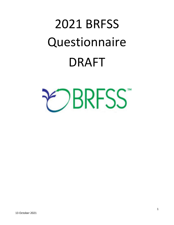# 2021 BRFSS **Questionnaire** DRAFT

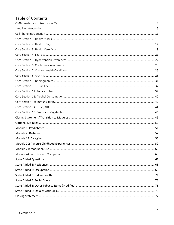# Table of Contents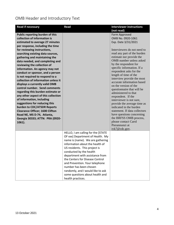<span id="page-3-0"></span>OMB Header and Introductory Text

| <b>Read if necessary</b>                                                                                                                                                                                                                                                                                                                                                                                                                                                                                                                                                                                                                                                            | Read                                                                                                                                                                                                                                                                                                                                                                                                                                     | <b>Interviewer instructions</b>                                                                                                                                                                                                                                                                                                                                                                                                                                                                                                                                                                                                        |
|-------------------------------------------------------------------------------------------------------------------------------------------------------------------------------------------------------------------------------------------------------------------------------------------------------------------------------------------------------------------------------------------------------------------------------------------------------------------------------------------------------------------------------------------------------------------------------------------------------------------------------------------------------------------------------------|------------------------------------------------------------------------------------------------------------------------------------------------------------------------------------------------------------------------------------------------------------------------------------------------------------------------------------------------------------------------------------------------------------------------------------------|----------------------------------------------------------------------------------------------------------------------------------------------------------------------------------------------------------------------------------------------------------------------------------------------------------------------------------------------------------------------------------------------------------------------------------------------------------------------------------------------------------------------------------------------------------------------------------------------------------------------------------------|
|                                                                                                                                                                                                                                                                                                                                                                                                                                                                                                                                                                                                                                                                                     |                                                                                                                                                                                                                                                                                                                                                                                                                                          | (not read)                                                                                                                                                                                                                                                                                                                                                                                                                                                                                                                                                                                                                             |
| Public reporting burden of this<br>collection of information is<br>estimated to average 27 minutes<br>per response, including the time                                                                                                                                                                                                                                                                                                                                                                                                                                                                                                                                              |                                                                                                                                                                                                                                                                                                                                                                                                                                          | Form Approved<br>OMB No. 0920-1061<br>Exp. Date 3/31/2021                                                                                                                                                                                                                                                                                                                                                                                                                                                                                                                                                                              |
| for reviewing instructions,<br>searching existing data sources,<br>gathering and maintaining the<br>data needed, and completing and<br>reviewing the collection of<br>information. An agency may not<br>conduct or sponsor, and a person<br>is not required to respond to a<br>collection of information unless it<br>displays a currently valid OMB<br>control number. Send comments<br>regarding this burden estimate or<br>any other aspect of this collection<br>of information, including<br>suggestions for reducing this<br>burden to CDC/ATSDR Reports<br><b>Clearance Officer; 1600 Clifton</b><br>Road NE, MS D-74, Atlanta,<br>Georgia 30333; ATTN: PRA (0920-<br>1061). |                                                                                                                                                                                                                                                                                                                                                                                                                                          | Interviewers do not need to<br>read any part of the burden<br>estimate nor provide the<br>OMB number unless asked<br>by the respondent for<br>specific information. If a<br>respondent asks for the<br>length of time of the<br>interview provide the most<br>accurate information based<br>on the version of the<br>questionnaire that will be<br>administered to that<br>respondent. If the<br>interviewer is not sure,<br>provide the average time as<br>indicated in the burden<br>statement. If data collectors<br>have questions concerning<br>the BRFSS OMB process,<br>please contact Carol<br>Pierannunzi at<br>ivk7@cdc.gov. |
|                                                                                                                                                                                                                                                                                                                                                                                                                                                                                                                                                                                                                                                                                     | HELLO, I am calling for the [STATE<br>OF xxx] Department of Health. My<br>name is (name). We are gathering<br>information about the health of<br>US residents. This project is<br>conducted by the health<br>department with assistance from<br>the Centers for Disease Control<br>and Prevention. Your telephone<br>number has been chosen<br>randomly, and I would like to ask<br>some questions about health and<br>health practices. |                                                                                                                                                                                                                                                                                                                                                                                                                                                                                                                                                                                                                                        |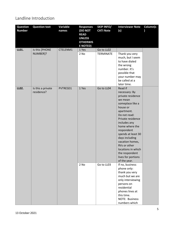## <span id="page-4-0"></span>Landline Introduction

| <b>Question</b> | <b>Question text</b>            | Variable | <b>Responses</b>                                                              | <b>SKIP INFO/</b> | <b>Interviewer Note</b>                                                                                                                                                                                                                                                                                                                              | Column(s |
|-----------------|---------------------------------|----------|-------------------------------------------------------------------------------|-------------------|------------------------------------------------------------------------------------------------------------------------------------------------------------------------------------------------------------------------------------------------------------------------------------------------------------------------------------------------------|----------|
| <b>Number</b>   |                                 | names    | (DO NOT<br><b>READ</b><br><b>UNLESS</b><br><b>OTHERWIS</b><br><b>E NOTED)</b> | <b>CATI Note</b>  | (s)                                                                                                                                                                                                                                                                                                                                                  |          |
| LL01.           | Is this [PHONE                  | CTELENM1 | 1 Yes                                                                         | Go to LL02        |                                                                                                                                                                                                                                                                                                                                                      |          |
|                 | NUMBER]?                        |          | 2 No                                                                          | <b>TERMINATE</b>  | Thank you very<br>much, but I seem<br>to have dialed<br>the wrong<br>number. It's<br>possible that<br>your number may<br>be called at a<br>later time.                                                                                                                                                                                               |          |
| LL02.           | Is this a private<br>residence? | PVTRESD1 | 1 Yes                                                                         | Go to LL04        | Read if<br>necessary: By<br>private residence<br>we mean<br>someplace like a<br>house or<br>apartment.<br>Do not read:<br>Private residence<br>includes any<br>home where the<br>respondent<br>spends at least 30<br>days including<br>vacation homes,<br>RVs or other<br>locations in which<br>the respondent<br>lives for portions<br>of the year. |          |
|                 |                                 |          | 2 No                                                                          | Go to LL03        | If no, business<br>phone only:<br>thank you very<br>much but we are<br>only interviewing<br>persons on<br>residential<br>phones lines at<br>this time.<br>NOTE: Business<br>numbers which                                                                                                                                                            |          |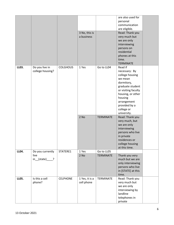|       |                                                            |                 | 3 No, this is<br>a business  |                                | are also used for<br>personal<br>communication<br>are eligible.<br>Read: Thank you<br>very much but<br>we are only<br>interviewing<br>persons on<br>residential<br>phones at this<br>time.<br><b>TERMINATE</b> |  |
|-------|------------------------------------------------------------|-----------------|------------------------------|--------------------------------|----------------------------------------------------------------------------------------------------------------------------------------------------------------------------------------------------------------|--|
| LL03. | Do you live in<br>college housing?                         | <b>COLGHOUS</b> | 1 Yes                        | Go to LL04                     | Read if<br>necessary: By<br>college housing<br>we mean<br>dormitory,<br>graduate student<br>or visiting faculty<br>housing, or other<br>housing<br>arrangement<br>provided by a<br>college or<br>university.   |  |
|       |                                                            |                 | 2 No                         | <b>TERMINATE</b>               | Read: Thank you<br>very much, but<br>we are only<br>interviewing<br>persons who live<br>in private<br>residences or<br>college housing<br>at this time.                                                        |  |
| LL04. | Do you currently<br>live<br>$in_{star}$ (state) $\qquad$ ? | STATERE1        | 1 Yes<br>$2$ No              | Go to LL05<br><b>TERMINATE</b> | Thank you very<br>much but we are<br>only interviewing<br>persons who live<br>in [STATE] at this<br>time.                                                                                                      |  |
| LL05. | Is this a cell<br>phone?                                   | <b>CELPHONE</b> | 1 Yes, it is a<br>cell phone | TERMINATE                      | Read: Thank you<br>very much but<br>we are only<br>interviewing by<br>landline<br>telephones in<br>private                                                                                                     |  |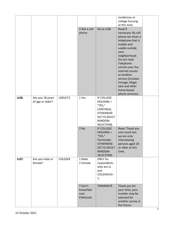|              |                                      |                |                                          |                                                                                                                            | residences or<br>college housing<br>at this time.                                                                                                                                                                                                                                                           |  |
|--------------|--------------------------------------|----------------|------------------------------------------|----------------------------------------------------------------------------------------------------------------------------|-------------------------------------------------------------------------------------------------------------------------------------------------------------------------------------------------------------------------------------------------------------------------------------------------------------|--|
|              |                                      |                | 2 Not a cell<br>phone                    | Go to LL06                                                                                                                 | Read if<br>necessary: By cell<br>phone we mean a<br>telephone that is<br>mobile and<br>usable outside<br>your<br>neighborhood.<br>Do not read:<br>Telephone<br>service over the<br>internet counts<br>as landline<br>service (includes<br>Vonage, Magic<br>Jack and other<br>home-based<br>phone services). |  |
| LL06.        | Are you 18 years<br>of age or older? | LADULT1        | 1 Yes                                    | IF COLLEGE<br>$HOUSING =$<br>"YES,"<br>CONTINUE;<br><b>OTHERWISE</b><br><b>GO TO ADULT</b><br>RANDOM<br>SELECTION]         |                                                                                                                                                                                                                                                                                                             |  |
|              |                                      |                | 2 No                                     | IF COLLEGE<br>$HOUSING =$<br>"YES,"<br>Terminate;<br><b>OTHERWISE</b><br><b>GO TO ADULT</b><br><b>RANDOM</b><br>SELECTION] | Read: Thank you<br>very much but<br>we are only<br>interviewing<br>persons aged 18<br>or older at this<br>time.                                                                                                                                                                                             |  |
| <b>LL07.</b> | Are you male or<br>female?           | <b>COLGSEX</b> | 1 Male<br>2 Female                       | ONLY for<br>respondents<br>who are LL<br>and<br>COLGHOUS=<br>1.                                                            |                                                                                                                                                                                                                                                                                                             |  |
|              |                                      |                | 7 Don't<br>know/Not<br>sure<br>9 Refused | <b>TERMINATE</b>                                                                                                           | Thank you for<br>your time, your<br>number may be<br>selected for<br>another survey in<br>the future.                                                                                                                                                                                                       |  |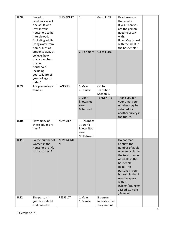| <b>LL08.</b> | I need to<br>randomly select<br>one adult who<br>lives in your<br>household to be<br>interviewed.<br><b>Excluding adults</b><br>living away from<br>home, such as<br>students away at<br>college, how<br>many members<br>of your | NUMADULT                       | $\mathbf{1}$<br>2-6 or more                          | Go to LL09<br>Go to LL10.                             | Read: Are you<br>that adult?<br>If yes: Then you<br>are the person I<br>need to speak<br>with.<br>If no: May I speak<br>with the adult in<br>the household?                                                                                                 |  |
|--------------|----------------------------------------------------------------------------------------------------------------------------------------------------------------------------------------------------------------------------------|--------------------------------|------------------------------------------------------|-------------------------------------------------------|-------------------------------------------------------------------------------------------------------------------------------------------------------------------------------------------------------------------------------------------------------------|--|
|              | household,<br>including<br>yourself, are 18<br>years of age or<br>older?                                                                                                                                                         |                                |                                                      |                                                       |                                                                                                                                                                                                                                                             |  |
| LL09.        | Are you male or<br>female?                                                                                                                                                                                                       | LANDSEX                        | 1 Male<br>2 Female<br>7 Don't                        | GO to<br>Transition<br>Section 1.<br><b>TERMINATE</b> | Thank you for                                                                                                                                                                                                                                               |  |
|              |                                                                                                                                                                                                                                  |                                | know/Not<br>sure<br>9 Refused                        |                                                       | your time, your<br>number may be<br>selected for<br>another survey in<br>the future.                                                                                                                                                                        |  |
| LL10.        | How many of<br>these adults are<br>men?                                                                                                                                                                                          | <b>NUMMEN</b>                  | Number<br>77 Don't<br>know/Not<br>sure<br>99 Refused |                                                       |                                                                                                                                                                                                                                                             |  |
| LL11.        | So the number of<br>women in the<br>household is [X].<br>Is that correct?                                                                                                                                                        | <b>NUMWOME</b><br>$\mathsf{N}$ |                                                      |                                                       | Do not read:<br>Confirm the<br>number of adult<br>women or clarify<br>the total number<br>of adults in the<br>household.<br>Read: The<br>persons in your<br>household that I<br>need to speak<br>with is<br>[Oldest/Youngest<br>/ Middle//Male<br>/Female]. |  |
| <b>LL12</b>  | The person in<br>your household<br>that I need to                                                                                                                                                                                | <b>RESPSLCT</b>                | 1 Male<br>2 Female                                   | If person<br>indicates that<br>they are not           |                                                                                                                                                                                                                                                             |  |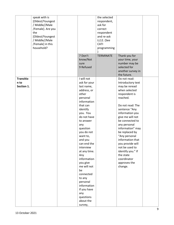|                                        | speak with is<br>[Oldest/Youngest<br>/ Middle//Male<br>/Female]. Are you<br>the<br>[Oldest/Youngest<br>/ Middle//Male<br>/Female] in this<br>household? | 7 Don't                                                                                                                                                                                                                                                                                                      | the selected<br>respondent,<br>ask for<br>correct<br>respondent<br>and re-ask<br>LL12. (See<br>CATI<br>programming |                                                                                                                                                                                                                                                                                                          |  |
|----------------------------------------|---------------------------------------------------------------------------------------------------------------------------------------------------------|--------------------------------------------------------------------------------------------------------------------------------------------------------------------------------------------------------------------------------------------------------------------------------------------------------------|--------------------------------------------------------------------------------------------------------------------|----------------------------------------------------------------------------------------------------------------------------------------------------------------------------------------------------------------------------------------------------------------------------------------------------------|--|
|                                        |                                                                                                                                                         | know/Not<br>sure<br>9 Refused                                                                                                                                                                                                                                                                                | <b>TERMINATE</b>                                                                                                   | Thank you for<br>your time, your<br>number may be<br>selected for<br>another survey in                                                                                                                                                                                                                   |  |
|                                        |                                                                                                                                                         |                                                                                                                                                                                                                                                                                                              |                                                                                                                    | the future.                                                                                                                                                                                                                                                                                              |  |
| <b>Transitio</b><br>n to<br>Section 1. |                                                                                                                                                         | I will not<br>ask for your<br>last name,<br>address, or<br>other<br>personal<br>information                                                                                                                                                                                                                  |                                                                                                                    | Do not read:<br>Introductory text<br>may be reread<br>when selected<br>respondent is<br>reached.                                                                                                                                                                                                         |  |
|                                        |                                                                                                                                                         | that can<br>identify<br>you. You<br>do not have<br>to answer<br>any<br>question<br>you do not<br>want to,<br>and you<br>can end the<br>interview<br>at any time.<br>Any<br>information<br>you give<br>me will not<br>be<br>connected<br>to any<br>personal<br>information<br>If you have<br>any<br>questions |                                                                                                                    | Do not read: The<br>sentence "Any<br>information you<br>give me will not<br>be connected to<br>any personal<br>information" may<br>be replaced by<br>"Any personal<br>information that<br>you provide will<br>not be used to<br>identify you." If<br>the state<br>coordinator<br>approves the<br>change. |  |
|                                        |                                                                                                                                                         | about the<br>survey,                                                                                                                                                                                                                                                                                         |                                                                                                                    |                                                                                                                                                                                                                                                                                                          |  |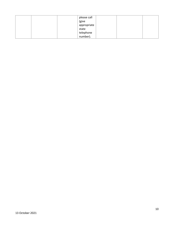| please call |  |
|-------------|--|
| (give       |  |
| appropriate |  |
| state       |  |
| telephone   |  |
| number).    |  |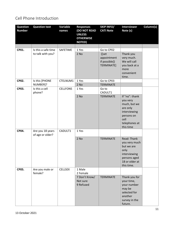# <span id="page-10-0"></span>Cell Phone Introduction

| <b>Question</b><br><b>Number</b> | <b>Question text</b>                     | Variable<br>names | <b>Responses</b><br>(DO NOT READ<br><b>UNLESS</b><br><b>OTHERWISE</b><br><b>NOTED)</b> | <b>SKIP INFO/</b><br><b>CATI Note</b>                             | <b>Interviewer</b><br>Note (s)                                                                                     | Column(s) |
|----------------------------------|------------------------------------------|-------------------|----------------------------------------------------------------------------------------|-------------------------------------------------------------------|--------------------------------------------------------------------------------------------------------------------|-----------|
|                                  |                                          |                   |                                                                                        |                                                                   |                                                                                                                    |           |
| CP01.                            | Is this a safe time<br>to talk with you? | SAFETIME          | 1 Yes<br>2 No                                                                          | Go to CP02<br>([set<br>appointment<br>if possible])<br>TERMINATE] | Thank you<br>very much.<br>We will call<br>you back at a<br>more<br>convenient<br>time.                            |           |
| CP02.                            | Is this [PHONE                           | CTELNUM1          | 1 Yes                                                                                  | Go to CP03                                                        |                                                                                                                    |           |
| CP03.                            | NUMBER]?<br>Is this a cell<br>phone?     | <b>CELLFON5</b>   | 2 No<br>1 Yes<br>2 No                                                                  | <b>TERMINATE</b><br>Go to<br>CADULT1<br><b>TERMINATE</b>          | If "no": thank<br>you very                                                                                         |           |
|                                  |                                          |                   |                                                                                        |                                                                   | much, but we<br>are only<br>interviewing<br>persons on<br>cell<br>telephones at<br>this time                       |           |
| CP04.                            | Are you 18 years<br>of age or older?     | CADULT1           | 1 Yes                                                                                  |                                                                   |                                                                                                                    |           |
|                                  |                                          |                   | 2 No                                                                                   | <b>TERMINATE</b>                                                  | Read: Thank<br>you very much<br>but we are<br>only<br>interviewing<br>persons aged<br>18 or older at<br>this time. |           |
| CP05.                            | Are you male or<br>female?               | <b>CELLSEX</b>    | 1 Male<br>2 Female                                                                     |                                                                   |                                                                                                                    |           |
|                                  |                                          |                   | 7 Don't Know/<br>Not sure<br>9 Refused                                                 | <b>TERMINATE</b>                                                  | Thank you for<br>your time,<br>your number<br>may be<br>selected for<br>another<br>survey in the<br>future.        |           |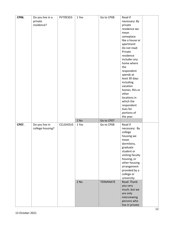| CP06. | Do you live in a | PVTRESD3        | 1 Yes  | Go to CP08       | Read if                     |  |
|-------|------------------|-----------------|--------|------------------|-----------------------------|--|
|       | private          |                 |        |                  | necessary: By               |  |
|       | residence?       |                 |        |                  | private                     |  |
|       |                  |                 |        |                  | residence we                |  |
|       |                  |                 |        |                  | mean                        |  |
|       |                  |                 |        |                  | someplace                   |  |
|       |                  |                 |        |                  | like a house or             |  |
|       |                  |                 |        |                  | apartment                   |  |
|       |                  |                 |        |                  | Do not read:                |  |
|       |                  |                 |        |                  | Private                     |  |
|       |                  |                 |        |                  | residence                   |  |
|       |                  |                 |        |                  | includes any                |  |
|       |                  |                 |        |                  | home where                  |  |
|       |                  |                 |        |                  | the                         |  |
|       |                  |                 |        |                  | respondent                  |  |
|       |                  |                 |        |                  | spends at                   |  |
|       |                  |                 |        |                  | least 30 days               |  |
|       |                  |                 |        |                  | including                   |  |
|       |                  |                 |        |                  | vacation                    |  |
|       |                  |                 |        |                  | homes, RVs or               |  |
|       |                  |                 |        |                  | other                       |  |
|       |                  |                 |        |                  | locations in                |  |
|       |                  |                 |        |                  | which the                   |  |
|       |                  |                 |        |                  | respondent                  |  |
|       |                  |                 |        |                  | lives for                   |  |
|       |                  |                 |        |                  |                             |  |
|       |                  |                 |        |                  |                             |  |
|       |                  |                 |        |                  | portions of                 |  |
|       |                  |                 |        |                  | the year.                   |  |
|       |                  |                 | 2 No   | Go to CP07       |                             |  |
| CP07. | Do you live in   | <b>CCLGHOUS</b> | 1 Yes  | Go to CP08       | Read if                     |  |
|       | college housing? |                 |        |                  | necessary: By               |  |
|       |                  |                 |        |                  | college                     |  |
|       |                  |                 |        |                  | housing we                  |  |
|       |                  |                 |        |                  | mean                        |  |
|       |                  |                 |        |                  | dormitory,                  |  |
|       |                  |                 |        |                  | graduate                    |  |
|       |                  |                 |        |                  | student or                  |  |
|       |                  |                 |        |                  | visiting faculty            |  |
|       |                  |                 |        |                  | housing, or                 |  |
|       |                  |                 |        |                  | other housing               |  |
|       |                  |                 |        |                  | arrangement                 |  |
|       |                  |                 |        |                  | provided by a               |  |
|       |                  |                 |        |                  | college or                  |  |
|       |                  |                 |        |                  | university.                 |  |
|       |                  |                 | $2$ No | <b>TERMINATE</b> | Read: Thank                 |  |
|       |                  |                 |        |                  | you very                    |  |
|       |                  |                 |        |                  | much, but we                |  |
|       |                  |                 |        |                  | are only                    |  |
|       |                  |                 |        |                  | interviewing<br>persons who |  |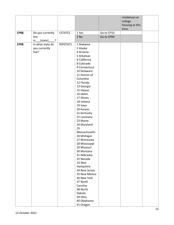|              |                                             |          |                           |            | residences or   |  |
|--------------|---------------------------------------------|----------|---------------------------|------------|-----------------|--|
|              |                                             |          |                           |            | college         |  |
|              |                                             |          |                           |            | housing at this |  |
|              |                                             |          |                           |            | time.           |  |
| <b>CP08.</b> | Do you currently                            | CSTATE1  | 1 Yes                     | Go to CP10 |                 |  |
|              | live                                        |          | $2$ No                    | Go to CP09 |                 |  |
|              | (state)<br>$\overline{\phantom{a}}$ ?<br>in |          |                           |            |                 |  |
| CP09.        | In what state do                            | RSPSTAT1 | 1 Alabama                 |            |                 |  |
|              | you currently                               |          | 2 Alaska                  |            |                 |  |
|              | live?                                       |          | 4 Arizona                 |            |                 |  |
|              |                                             |          | 5 Arkansas                |            |                 |  |
|              |                                             |          | 6 California              |            |                 |  |
|              |                                             |          | 8 Colorado                |            |                 |  |
|              |                                             |          | 9 Connecticut             |            |                 |  |
|              |                                             |          | 10 Delaware               |            |                 |  |
|              |                                             |          | 11 District of            |            |                 |  |
|              |                                             |          | Columbia                  |            |                 |  |
|              |                                             |          | 12 Florida                |            |                 |  |
|              |                                             |          | 13 Georgia                |            |                 |  |
|              |                                             |          | 15 Hawaii                 |            |                 |  |
|              |                                             |          | 16 Idaho                  |            |                 |  |
|              |                                             |          | 17 Illinois<br>18 Indiana |            |                 |  |
|              |                                             |          | 19 lowa                   |            |                 |  |
|              |                                             |          | 20 Kansas                 |            |                 |  |
|              |                                             |          | 21 Kentucky               |            |                 |  |
|              |                                             |          | 22 Louisiana              |            |                 |  |
|              |                                             |          | 23 Maine                  |            |                 |  |
|              |                                             |          | 24 Maryland               |            |                 |  |
|              |                                             |          | 25                        |            |                 |  |
|              |                                             |          | Massachusetts             |            |                 |  |
|              |                                             |          | 26 Michigan               |            |                 |  |
|              |                                             |          | 27 Minnesota              |            |                 |  |
|              |                                             |          | 28 Mississippi            |            |                 |  |
|              |                                             |          | 29 Missouri               |            |                 |  |
|              |                                             |          | 30 Montana                |            |                 |  |
|              |                                             |          | 31 Nebraska               |            |                 |  |
|              |                                             |          | 32 Nevada                 |            |                 |  |
|              |                                             |          | 33 New                    |            |                 |  |
|              |                                             |          | Hampshire                 |            |                 |  |
|              |                                             |          | 34 New Jersey             |            |                 |  |
|              |                                             |          | 35 New Mexico             |            |                 |  |
|              |                                             |          | 36 New York               |            |                 |  |
|              |                                             |          | 37 North                  |            |                 |  |
|              |                                             |          | Carolina                  |            |                 |  |
|              |                                             |          | 38 North                  |            |                 |  |
|              |                                             |          | Dakota                    |            |                 |  |
|              |                                             |          | 39 Ohio                   |            |                 |  |
|              |                                             |          | 40 Oklahoma               |            |                 |  |
|              |                                             |          | 41 Oregon                 |            |                 |  |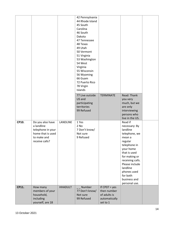|       |                                                                                                           |                | 42 Pennsylvania<br>44 Rhode Island<br>45 South<br>Carolina<br>46 South<br>Dakota<br>47 Tennessee<br>48 Texas<br>49 Utah<br>50 Vermont<br>51 Virginia<br>53 Washington<br>54 West<br>Virginia<br>55 Wisconsin |                                                                             |                                                                                                                                                                                                                                                        |  |
|-------|-----------------------------------------------------------------------------------------------------------|----------------|--------------------------------------------------------------------------------------------------------------------------------------------------------------------------------------------------------------|-----------------------------------------------------------------------------|--------------------------------------------------------------------------------------------------------------------------------------------------------------------------------------------------------------------------------------------------------|--|
|       |                                                                                                           |                | 56 Wyoming<br>66 Guam<br>72 Puerto Rico<br>78 Virgin<br>Islands                                                                                                                                              |                                                                             |                                                                                                                                                                                                                                                        |  |
|       |                                                                                                           |                | 77 Live outside<br>US and<br>participating<br>territories<br>99 Refused                                                                                                                                      | <b>TERMINATE</b>                                                            | Read: Thank<br>you very<br>much, but we<br>are only<br>interviewing<br>persons who<br>live in the US.                                                                                                                                                  |  |
| CP10. | Do you also have<br>a landline<br>telephone in your<br>home that is used<br>to make and<br>receive calls? | LANDLINE       | 1 Yes<br>2 No<br>7 Don't know/<br>Not sure<br>9 Refused                                                                                                                                                      |                                                                             | Read if<br>necessary: By<br>landline<br>telephone, we<br>mean a<br>regular<br>telephone in<br>your home<br>that is used<br>for making or<br>receiving calls.<br>Please include<br>landline<br>phones used<br>for both<br>business and<br>personal use. |  |
| CP11. | How many<br>members of your<br>household,<br>including<br>yourself, are 18                                | <b>HHADULT</b> | Number<br>77 Don't know/<br>Not sure<br>99 Refused                                                                                                                                                           | If $CPO7 = yes$<br>then number<br>of adults is<br>automatically<br>set to 1 |                                                                                                                                                                                                                                                        |  |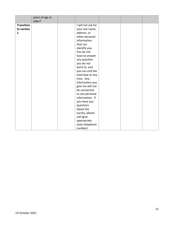|                   | years of age or<br>older? |                    |  |  |
|-------------------|---------------------------|--------------------|--|--|
| <b>Transition</b> |                           | I will not ask for |  |  |
| to section        |                           | your last name,    |  |  |
| 1.                |                           | address, or        |  |  |
|                   |                           | other personal     |  |  |
|                   |                           | information        |  |  |
|                   |                           | that can           |  |  |
|                   |                           | identify you.      |  |  |
|                   |                           | You do not         |  |  |
|                   |                           | have to answer     |  |  |
|                   |                           | any question       |  |  |
|                   |                           | you do not         |  |  |
|                   |                           | want to, and       |  |  |
|                   |                           | you can end the    |  |  |
|                   |                           | interview at any   |  |  |
|                   |                           | time. Any          |  |  |
|                   |                           | information you    |  |  |
|                   |                           | give me will not   |  |  |
|                   |                           | be connected       |  |  |
|                   |                           | to any personal    |  |  |
|                   |                           | information. If    |  |  |
|                   |                           | you have any       |  |  |
|                   |                           | questions          |  |  |
|                   |                           | about the          |  |  |
|                   |                           | survey, please     |  |  |
|                   |                           | call (give         |  |  |
|                   |                           | appropriate        |  |  |
|                   |                           | state telephone    |  |  |
|                   |                           | number).           |  |  |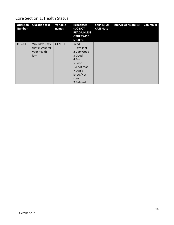## <span id="page-15-0"></span>Core Section 1: Health Status

| <b>Question</b><br><b>Number</b> | <b>Question text</b>                                     | Variable<br>names | <b>Responses</b><br><b>(DO NOT</b><br><b>READ UNLESS</b><br><b>OTHERWISE</b><br><b>NOTED</b> )                                | <b>SKIP INFO/</b><br><b>CATI Note</b> | <b>Interviewer Note (s)</b> | Column(s) |
|----------------------------------|----------------------------------------------------------|-------------------|-------------------------------------------------------------------------------------------------------------------------------|---------------------------------------|-----------------------------|-----------|
| <b>CHS.01</b>                    | Would you say<br>that in general<br>your health<br>$is-$ | <b>GENHLTH</b>    | Read:<br>1 Excellent<br>2 Very Good<br>3 Good<br>4 Fair<br>5 Poor<br>Do not read:<br>7 Don't<br>know/Not<br>sure<br>9 Refused |                                       |                             |           |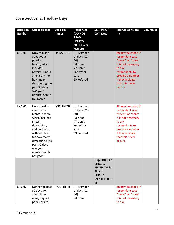# <span id="page-16-0"></span>Core Section 2: Healthy Days

| <b>Question</b><br><b>Number</b> | <b>Question text</b>                                                                                                                                                                                                    | Variable<br>names | <b>Responses</b><br><b>(DO NOT</b><br><b>READ</b><br><b>UNLESS</b><br><b>OTHERWISE</b><br><b>NOTED)</b> | <b>SKIP INFO/</b><br><b>CATI Note</b>                                                | <b>Interviewer Note</b><br>(s)                                                                                                                                                      | Column(s) |
|----------------------------------|-------------------------------------------------------------------------------------------------------------------------------------------------------------------------------------------------------------------------|-------------------|---------------------------------------------------------------------------------------------------------|--------------------------------------------------------------------------------------|-------------------------------------------------------------------------------------------------------------------------------------------------------------------------------------|-----------|
| <b>CHD.01</b>                    | Now thinking<br>about your<br>physical<br>health, which<br>includes<br>physical illness<br>and injury, for<br>how many<br>days during the<br>past 30 days<br>was your<br>physical health<br>not good?                   | <b>PHYSHLTH</b>   | Number<br>of days (01-<br>30)<br>88 None<br>77 Don't<br>know/not<br>sure<br>99 Refused                  |                                                                                      | 88 may be coded if<br>respondent says<br>"never" or "none"<br>It is not necessary<br>to ask<br>respondents to<br>provide a number<br>if they indicate<br>that this never<br>occurs. |           |
| <b>CHD.02</b>                    | Now thinking<br>about your<br>mental health,<br>which includes<br>stress,<br>depression,<br>and problems<br>with emotions,<br>for how many<br>days during the<br>past 30 days<br>was your<br>mental health<br>not good? | <b>MENTHLTH</b>   | Number<br>of days (01-<br>30)<br>88 None<br>77 Don't<br>know/not<br>sure<br>99 Refused                  |                                                                                      | 88 may be coded if<br>respondent says<br>"never" or "none"<br>It is not necessary<br>to ask<br>respondents to<br>provide a number<br>if they indicate<br>that this never<br>occurs. |           |
|                                  |                                                                                                                                                                                                                         |                   |                                                                                                         | Skip CHD.03 if<br>CHD.01,<br>PHYSHLTH, is<br>88 and<br>CHD.02,<br>MENTHLTH, is<br>88 |                                                                                                                                                                                     |           |
| <b>CHD.03</b>                    | During the past<br>30 days, for<br>about how<br>many days did<br>poor physical                                                                                                                                          | <b>POORHLTH</b>   | Number<br>of days (01-<br>30)<br>88 None                                                                |                                                                                      | 88 may be coded if<br>respondent says<br>"never" or "none"<br>It is not necessary<br>to ask                                                                                         |           |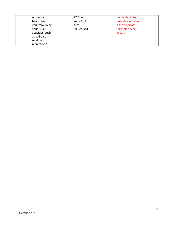| or mental        | 77 Don't   | respondents to   |
|------------------|------------|------------------|
| health keep      | know/not   | provide a number |
| you from doing   | sure       | if they indicate |
| your usual       | 99 Refused | that this never  |
| activities, such |            | occurs.          |
| as self-care,    |            |                  |
| work, or         |            |                  |
| recreation?      |            |                  |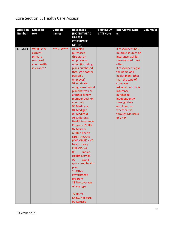# <span id="page-18-0"></span>Core Section 3: Health Care Access

| <b>Question</b> | Question    | Variable  | <b>Responses</b>                    | <b>SKIP INFO/</b> | <b>Interviewer Note</b>         | Column(s) |
|-----------------|-------------|-----------|-------------------------------------|-------------------|---------------------------------|-----------|
| <b>Number</b>   | text        | names     | (DO NOT READ                        | <b>CATI Note</b>  | (s)                             |           |
|                 |             |           | <b>UNLESS</b>                       |                   |                                 |           |
|                 |             |           | <b>OTHERWISE</b>                    |                   |                                 |           |
|                 |             |           | <b>NOTED)</b>                       |                   |                                 |           |
| <b>CHCA.01</b>  | What is the | ***NEW*** | 01 A plan                           |                   | If respondent has               |           |
|                 | current     |           | purchased                           |                   | multiple sources of             |           |
|                 | primary     |           | through an                          |                   | insurance, ask for              |           |
|                 | source of   |           | employer or                         |                   | the one used most               |           |
|                 | your health |           | union (including                    |                   | often.                          |           |
|                 | insurance?  |           | plans purchased                     |                   | If respondents give             |           |
|                 |             |           | through another                     |                   | the name of a                   |           |
|                 |             |           | person's                            |                   | health plan rather              |           |
|                 |             |           | employer)                           |                   | than the type of                |           |
|                 |             |           | 02 A private                        |                   | coverage<br>ask whether this is |           |
|                 |             |           | nongovernmental<br>plan that you or |                   | insurance                       |           |
|                 |             |           | another family                      |                   | purchased                       |           |
|                 |             |           | member buys on                      |                   | independently,                  |           |
|                 |             |           | your own                            |                   | through their                   |           |
|                 |             |           | 03 Medicare                         |                   | employer, or                    |           |
|                 |             |           | 04 Medigap                          |                   | whether it is                   |           |
|                 |             |           | 05 Medicaid                         |                   | through Medicaid                |           |
|                 |             |           | 06 Children's                       |                   | or CHIP.                        |           |
|                 |             |           | <b>Health Insurance</b>             |                   |                                 |           |
|                 |             |           | Program (CHIP)                      |                   |                                 |           |
|                 |             |           | 07 Military                         |                   |                                 |           |
|                 |             |           | related health                      |                   |                                 |           |
|                 |             |           | care: TRICARE                       |                   |                                 |           |
|                 |             |           | (CHAMPUS) / VA                      |                   |                                 |           |
|                 |             |           | health care /                       |                   |                                 |           |
|                 |             |           | <b>CHAMP-VA</b>                     |                   |                                 |           |
|                 |             |           | 08<br>Indian                        |                   |                                 |           |
|                 |             |           | <b>Health Service</b>               |                   |                                 |           |
|                 |             |           | 09<br><b>State</b>                  |                   |                                 |           |
|                 |             |           | sponsored health                    |                   |                                 |           |
|                 |             |           | plan                                |                   |                                 |           |
|                 |             |           | 10 Other                            |                   |                                 |           |
|                 |             |           | government                          |                   |                                 |           |
|                 |             |           | program                             |                   |                                 |           |
|                 |             |           | 88 No coverage                      |                   |                                 |           |
|                 |             |           | of any type                         |                   |                                 |           |
|                 |             |           | 77 Don't                            |                   |                                 |           |
|                 |             |           | Know/Not Sure                       |                   |                                 |           |
|                 |             |           | 99 Refused                          |                   |                                 |           |
|                 |             |           |                                     |                   |                                 |           |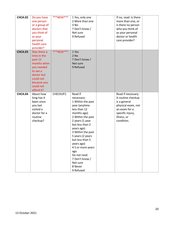| CHCA.02        | Do you have   | ***NEW*** | 1 Yes, only one   | If no, read: Is there |  |
|----------------|---------------|-----------|-------------------|-----------------------|--|
|                | one person    |           | 2 More than one   | more than one, or     |  |
|                | or a group of |           | 3 No              | is there no person    |  |
|                | doctors that  |           | 7 Don't know /    | who you think of      |  |
|                | you think of  |           | Not sure          | as your personal      |  |
|                | as your       |           | 9 Refused         | doctor or health      |  |
|                | personal      |           |                   | care provider?        |  |
|                | health care   |           |                   |                       |  |
|                | provider?     |           |                   |                       |  |
| <b>CHCA.03</b> | Was there a   | ***NEW*** | 1 Yes             |                       |  |
|                | time in the   |           | 2 No              |                       |  |
|                |               |           |                   |                       |  |
|                | past 12       |           | 7 Don't know /    |                       |  |
|                | months when   |           | Not sure          |                       |  |
|                | you needed    |           | 9 Refused         |                       |  |
|                | to see a      |           |                   |                       |  |
|                | doctor but    |           |                   |                       |  |
|                | could not     |           |                   |                       |  |
|                | because you   |           |                   |                       |  |
|                | could not     |           |                   |                       |  |
|                | afford it?    |           |                   |                       |  |
| CHCA.04        | About how     | CHECKUP1  | Read if           | Read if necessary:    |  |
|                | long has it   |           | necessary:        | A routine checkup     |  |
|                | been since    |           | 1 Within the past | is a general          |  |
|                | you last      |           | year (anytime     | physical exam, not    |  |
|                | visited a     |           | less than 12      | an exam for a         |  |
|                | doctor for a  |           | months ago)       | specific injury,      |  |
|                | routine       |           | 2 Within the past | illness, or           |  |
|                | checkup?      |           | 2 years (1 year   | condition.            |  |
|                |               |           | but less than 2   |                       |  |
|                |               |           | years ago)        |                       |  |
|                |               |           | 3 Within the past |                       |  |
|                |               |           |                   |                       |  |
|                |               |           | 5 years (2 years  |                       |  |
|                |               |           | but less than 5   |                       |  |
|                |               |           | years ago)        |                       |  |
|                |               |           | 4 5 or more years |                       |  |
|                |               |           | ago               |                       |  |
|                |               |           | Do not read:      |                       |  |
|                |               |           | 7 Don't know /    |                       |  |
|                |               |           | Not sure          |                       |  |
|                |               |           | 8 Never           |                       |  |
|                |               |           | 9 Refused         |                       |  |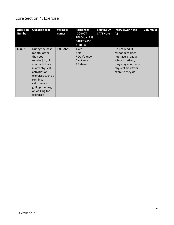#### <span id="page-20-0"></span>Core Section 4: Exercise

| <b>Question</b><br><b>Number</b> | <b>Question text</b>                                                                                                                                                                                                         | Variable<br>names | <b>Responses</b><br><b>(DO NOT</b><br><b>READ UNLESS</b><br><b>OTHERWISE</b><br><b>NOTED)</b> | <b>SKIP INFO/</b><br><b>CATI Note</b> | <b>Interviewer Note</b><br>(s)                                                                                                                   | Column(s) |
|----------------------------------|------------------------------------------------------------------------------------------------------------------------------------------------------------------------------------------------------------------------------|-------------------|-----------------------------------------------------------------------------------------------|---------------------------------------|--------------------------------------------------------------------------------------------------------------------------------------------------|-----------|
| <b>CEX.01</b>                    | During the past<br>month, other<br>than your<br>regular job, did<br>you participate<br>in any physical<br>activities or<br>exercises such as<br>running,<br>calisthenics,<br>golf, gardening,<br>or walking for<br>exercise? | EXERANY2          | 1 Yes<br>2 No<br>7 Don't know<br>/ Not sure<br>9 Refused                                      |                                       | Do not read: If<br>respondent does<br>not have a regular<br>job or is retired,<br>they may count any<br>physical activity or<br>exercise they do |           |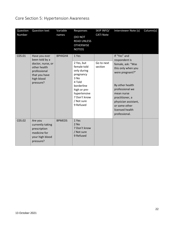# <span id="page-21-0"></span>Core Section 5: Hypertension Awareness

| Question<br>Number | Question text                                                                                                                    | Variable<br>names | Responses<br>(DO NOT<br><b>READ UNLESS</b><br><b>OTHERWISE</b><br>NOTED)                                                                                                  | SKIP INFO/<br><b>CATI Note</b> | Interviewer Note (s)                                                                                                                                                                                                                            | Column(s) |
|--------------------|----------------------------------------------------------------------------------------------------------------------------------|-------------------|---------------------------------------------------------------------------------------------------------------------------------------------------------------------------|--------------------------------|-------------------------------------------------------------------------------------------------------------------------------------------------------------------------------------------------------------------------------------------------|-----------|
| C05.01             | Have you ever<br>been told by a<br>doctor, nurse, or<br>other health<br>professional<br>that you have<br>high blood<br>pressure? | <b>BPHIGH4</b>    | 1 Yes<br>2 Yes, but<br>female told<br>only during<br>pregnancy<br>3 No<br>4 Told<br>borderline<br>high or pre-<br>hypertensive<br>7 Don't know<br>/ Not sure<br>9 Refused | Go to next<br>section          | If "Yes" and<br>respondent is<br>female, ask: "Was<br>this only when you<br>were pregnant?"<br>By other health<br>professional we<br>mean nurse<br>practitioner, a<br>physician assistant,<br>or some other<br>licensed health<br>professional. |           |
| C05.02             | Are you<br>currently taking<br>prescription<br>medicine for<br>your high blood<br>pressure?                                      | <b>BPMEDS</b>     | 1 Yes<br>$2$ No<br>7 Don't know<br>/ Not sure<br>9 Refused                                                                                                                |                                |                                                                                                                                                                                                                                                 |           |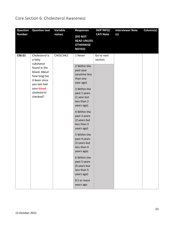# <span id="page-22-0"></span>Core Section 6: Cholesterol Awareness

| <b>Question</b><br><b>Question text</b>                                                                                                                                    | Variable | <b>Responses</b>                                                                                                                                                                                                                                                                                                                                                                                                             | <b>SKIP INFO/</b>      | <b>Interviewer Note</b> | Column(s) |
|----------------------------------------------------------------------------------------------------------------------------------------------------------------------------|----------|------------------------------------------------------------------------------------------------------------------------------------------------------------------------------------------------------------------------------------------------------------------------------------------------------------------------------------------------------------------------------------------------------------------------------|------------------------|-------------------------|-----------|
| <b>Number</b>                                                                                                                                                              | names    | <b>(DO NOT</b><br><b>READ UNLESS</b><br><b>OTHERWISE</b><br><b>NOTED)</b>                                                                                                                                                                                                                                                                                                                                                    | <b>CATI Note</b>       | (s)                     |           |
| C06.01<br>Cholesterol is<br>a fatty<br>substance<br>found in the<br>blood. About<br>how long has<br>it been since<br>you last had<br>your-blood<br>cholesterol<br>checked? | CHOLCHK2 | 1 Never<br>2 Within the<br>past year<br>(anytime less<br>than one<br>year ago)<br>3 Within the<br>past 2 years<br>(1 year but<br>less than 2<br>years ago)<br>4 Within the<br>past 3 years<br>(2 years but<br>less than 3<br>years ago)<br>5 Within the<br>past 4 years<br>(3 years but<br>less than 4<br>years ago)<br>6 Within the<br>past 5 years<br>(4 years but<br>less than 5<br>years ago)<br>85 or more<br>years ago | Go to next<br>section. |                         |           |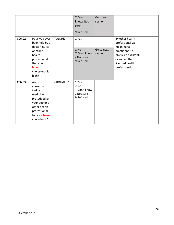|        |                                                                                                                                                 |          | 7 Don't<br>know/Not<br>sure<br>9 Refused                   | Go to next<br>section  |                                                                                                                                                  |  |
|--------|-------------------------------------------------------------------------------------------------------------------------------------------------|----------|------------------------------------------------------------|------------------------|--------------------------------------------------------------------------------------------------------------------------------------------------|--|
| C06.02 | Have you ever<br>been told by a<br>doctor, nurse<br>or other<br>health<br>professional<br>that your<br>blood<br>cholesterol is<br>high?         | TOLDHI2  | 1 Yes<br>$2$ No<br>7 Don't know<br>/ Not sure<br>9 Refused | Go to next<br>section. | By other health<br>professional we<br>mean nurse<br>practitioner, a<br>physician assistant,<br>or some other<br>licensed health<br>professional. |  |
| C06.03 | Are you<br>currently<br>taking<br>medicine<br>prescribed by<br>your doctor or<br>other health<br>professional<br>for your blood<br>cholesterol? | CHOLMED2 | 1 Yes<br>2 No<br>7 Don't know<br>/ Not sure<br>9 Refused   |                        |                                                                                                                                                  |  |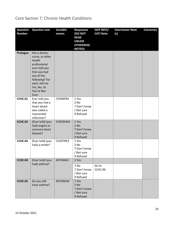# <span id="page-24-0"></span>Core Section 7: Chronic Health Conditions

| <b>Question</b><br><b>Number</b> | <b>Question text</b>                                                                                                                                                               | Variable<br>names | <b>Responses</b><br>(DO NOT<br><b>READ</b><br><b>UNLESS</b><br><b>OTHERWISE</b><br><b>NOTED)</b> | <b>SKIP INFO/</b><br><b>CATI Note</b> | <b>Interviewer Note</b><br>(s) | Column(s) |
|----------------------------------|------------------------------------------------------------------------------------------------------------------------------------------------------------------------------------|-------------------|--------------------------------------------------------------------------------------------------|---------------------------------------|--------------------------------|-----------|
| Prologue                         | Has a doctor,<br>nurse, or other<br>health<br>professional<br>ever told you<br>that you had<br>any of the<br>following? For<br>each, tell me<br>Yes, No, Or<br>You're Not<br>Sure. |                   |                                                                                                  |                                       |                                |           |
| CCHC.01                          | Ever told you<br>that you had a<br>heart attack<br>also called a<br>myocardial<br>infarction?                                                                                      | <b>CVDINFR4</b>   | 1 Yes<br>2 No<br>7 Don't know<br>/ Not sure<br>9 Refused                                         |                                       |                                |           |
| CCHC.02                          | (Ever told) (you<br>had) angina or<br>coronary heart<br>disease?                                                                                                                   | CVDCRHD4          | 1 Yes<br>2 No<br>7 Don't know<br>/ Not sure<br>9 Refused                                         |                                       |                                |           |
| <b>CCHC.03</b>                   | (Ever told) (you<br>had) a stroke?                                                                                                                                                 | CVDSTRK3          | 1 Yes<br>2 No<br>7 Don't know<br>/ Not sure<br>9 Refused                                         |                                       |                                |           |
| CCHC.04                          | (Ever told) (you<br>had) asthma?                                                                                                                                                   | ASTHMA3           | 1 Yes<br>2 No<br>7 Don't know<br>/ Not sure<br>9 Refused                                         | Go to<br>CCHC.06                      |                                |           |
| <b>CCHC.05</b>                   | Do you still<br>have asthma?                                                                                                                                                       | <b>ASTHNOW</b>    | 1 Yes<br>$2$ No<br>7 Don't know<br>/ Not sure<br>9 Refused                                       |                                       |                                |           |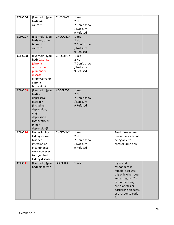| <b>CCHC.06</b><br><b>CCHC.07</b> | (Ever told) (you<br>had) skin<br>cancer?<br>(Ever told) (you                                                                                        | <b>CHCSCNCR</b><br><b>CHCOCNCR</b> | 1 Yes<br>2 No<br>7 Don't know<br>/ Not sure<br>9 Refused<br>1 Yes |                                                                                                                                                                                     |  |
|----------------------------------|-----------------------------------------------------------------------------------------------------------------------------------------------------|------------------------------------|-------------------------------------------------------------------|-------------------------------------------------------------------------------------------------------------------------------------------------------------------------------------|--|
|                                  | had) any other<br>types of<br>cancer?                                                                                                               |                                    | 2 No<br>7 Don't know<br>/ Not sure<br>9 Refused                   |                                                                                                                                                                                     |  |
| CCHC.08                          | (Ever told) (you<br>had) C.O.P.D.<br>(chronic<br>obstructive<br>pulmonary<br>disease),<br>emphysema or<br>chronic<br>bronchitis?                    | CHCCOPD2                           | 1 Yes<br>2 No<br>7 Don't know<br>/ Not sure<br>9 Refused          |                                                                                                                                                                                     |  |
| CCHC <sub>09</sub>               | (Ever told) (you<br>had) a<br>depressive<br>disorder<br>(including<br>depression,<br>major<br>depression,<br>dysthymia, or<br>minor<br>depression)? | ADDEPEV3                           | 1 Yes<br>2 No<br>7 Don't know<br>/ Not sure<br>9 Refused          |                                                                                                                                                                                     |  |
| CCHC.10                          | Not including<br>kidney stones,<br>bladder<br>infection or<br>incontinence,<br>were you ever<br>told you had<br>kidney disease?                     | CHCKDNY2                           | 1 Yes<br>2 No<br>7 Don't know<br>/ Not sure<br>9 Refused          | Read if necessary:<br>Incontinence is not<br>being able to<br>control urine flow.                                                                                                   |  |
| <b>CCHC.11</b>                   | (Ever told) (you<br>had) diabetes?                                                                                                                  | DIABETE4                           | 1 Yes                                                             | If yes and<br>respondent is<br>female, ask: was<br>this only when you<br>were pregnant? If<br>respondent says<br>pre-diabetes or<br>borderline diabetes,<br>use response code<br>4. |  |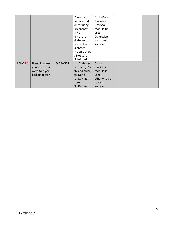|         |               |          | 2 Yes, but       | Go to Pre-      |  |
|---------|---------------|----------|------------------|-----------------|--|
|         |               |          | female told      | <b>Diabetes</b> |  |
|         |               |          | only during      | Optional        |  |
|         |               |          | pregnancy        | Module (if      |  |
|         |               |          | 3 No             | used).          |  |
|         |               |          | 4 No, pre-       | Otherwise,      |  |
|         |               |          | diabetes or      | go to next      |  |
|         |               |          | borderline       | section.        |  |
|         |               |          | diabetes         |                 |  |
|         |               |          | 7 Don't know     |                 |  |
|         |               |          | / Not sure       |                 |  |
|         |               |          | 9 Refused        |                 |  |
| CCHC.12 | How old were  | DIABAGE3 | Code age         | Go to           |  |
|         | you when you  |          | in years $[97 =$ | <b>Diabetes</b> |  |
|         | were told you |          | 97 and older]    | Module if       |  |
|         | had diabetes? |          | 98 Don't         | used,           |  |
|         |               |          | know / Not       | otherwise go    |  |
|         |               |          | sure             | to next         |  |
|         |               |          | 99 Refused       | section.        |  |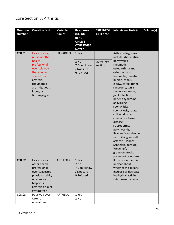#### <span id="page-27-0"></span>Core Section 8: Arthritis

| <b>Question</b> | <b>Question text</b>                                                                                                                                     | <b>Variable</b> | <b>Responses</b>                                                             | <b>SKIP INFO/</b> | <b>Interviewer Note (s)</b>                                                                                                                                                                                                                                                                                                                                                                                                                                                                    | Column(s) |
|-----------------|----------------------------------------------------------------------------------------------------------------------------------------------------------|-----------------|------------------------------------------------------------------------------|-------------------|------------------------------------------------------------------------------------------------------------------------------------------------------------------------------------------------------------------------------------------------------------------------------------------------------------------------------------------------------------------------------------------------------------------------------------------------------------------------------------------------|-----------|
| <b>Number</b>   |                                                                                                                                                          | names           | (DO NOT<br><b>READ</b><br><b>UNLESS</b><br><b>OTHERWISE</b><br><b>NOTED)</b> | <b>CATI Note</b>  |                                                                                                                                                                                                                                                                                                                                                                                                                                                                                                |           |
| C08.01          | Has a doctor,<br>nurse or other<br>health                                                                                                                | HAVARTH3        | 1 Yes<br>2 No                                                                | Go to next        | Arthritis diagnoses<br>include: rheumatism,                                                                                                                                                                                                                                                                                                                                                                                                                                                    |           |
|                 | professional<br>ever told you<br>that you had<br>some form of<br>arthritis,<br>rheumatoid<br>arthritis, gout,<br>lupus, or<br>fibromyalgia?              |                 | 7 Don't know<br>/ Not sure<br>9 Refused                                      | section           | polymyalgia<br>rheumatic,<br>osteoarthritis (not<br>osteoporosis),<br>tendonitis, bursitis,<br>bunion, tennis<br>elbow, carpal tunnel<br>syndrome, tarsal<br>tunnel syndrome,<br>joint infection,<br>Reiter's syndrome,<br>ankylosing<br>spondylitis;<br>spondylosis, rotator<br>cuff syndrome,<br>connective tissue<br>disease,<br>scleroderma,<br>polymyositis,<br>Raynaud's syndrome,<br>vasculitis, giant cell<br>arteritis, Henoch-<br>Schonlein purpura,<br>Wegener's<br>granulomatosis, |           |
| C08.02          | Has a doctor or<br>other health<br>professional<br>ever suggested<br>physical activity<br>or exercise to<br>help your<br>arthritis or joint<br>symptoms? | <b>ARTHEXER</b> | 1 Yes<br>2 No<br>7 Don't know<br>/ Not sure<br>9 Refused                     |                   | If the respondent is<br>unclear about<br>whether this means<br>increase or decrease<br>in physical activity,<br>this means increase.                                                                                                                                                                                                                                                                                                                                                           |           |
| C08.03          | Have you ever<br>taken an<br>educational                                                                                                                 | ARTHEDU         | 1 Yes<br>2 No                                                                |                   |                                                                                                                                                                                                                                                                                                                                                                                                                                                                                                |           |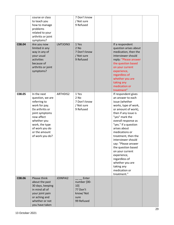|        | course or class<br>to teach you<br>how to manage<br>problems<br>related to your<br>arthritis or joint<br>symptoms?                                                                                         |                 | 7 Don't know<br>/ Not sure<br>9 Refused                                   |                                                                                                                                                                                                                                                                                                                                                                                                                                                    |  |
|--------|------------------------------------------------------------------------------------------------------------------------------------------------------------------------------------------------------------|-----------------|---------------------------------------------------------------------------|----------------------------------------------------------------------------------------------------------------------------------------------------------------------------------------------------------------------------------------------------------------------------------------------------------------------------------------------------------------------------------------------------------------------------------------------------|--|
| C08.04 | Are you now<br>limited in any<br>way in any of<br>your usual<br>activities<br>because of<br>arthritis or joint<br>symptoms?                                                                                | LMTJOIN3        | 1 Yes<br>2 No<br>7 Don't know<br>/ Not sure<br>9 Refused                  | If a respondent<br>question arises about<br>medication, then the<br>interviewer should<br>reply: "Please answer<br>the question based<br>on your current<br>experience,<br>regardless of<br>whether you are<br>taking any<br>medication or<br>treatment"                                                                                                                                                                                           |  |
| C08.05 | In the next<br>question, we are<br>referring to<br>work for pay.<br>Do arthritis or<br>joint symptoms<br>now affect<br>whether you<br>work, the type<br>of work you do<br>or the amount<br>of work you do? | ARTHDIS2        | 1 Yes<br>2 No<br>7 Don't know<br>/ Not sure<br>9 Refused                  | If respondent gives<br>an answer to each<br>issue (whether<br>works, type of work,<br>or amount of work),<br>then if any issue is<br>"yes" mark the<br>overall response as<br>"yes." If a question<br>arises about<br>medications or<br>treatment, then the<br>interviewer should<br>say: "Please answer<br>the question based<br>on your current<br>experience,<br>regardless of<br>whether you are<br>taking any<br>medication or<br>treatment." |  |
| C08.06 | Please think<br>about the past<br>30 days, keeping<br>in mind all of<br>your joint pain<br>or aching and<br>whether or not<br>you have taken                                                               | <b>JOINPAI2</b> | Enter<br>number [00-<br>10]<br>77 Don't<br>know/Not<br>sure<br>99 Refused |                                                                                                                                                                                                                                                                                                                                                                                                                                                    |  |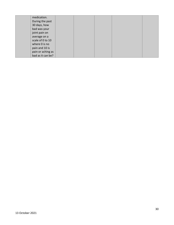| medication.       |  |  |  |
|-------------------|--|--|--|
| During the past   |  |  |  |
| 30 days, how      |  |  |  |
| bad was your      |  |  |  |
| joint pain on     |  |  |  |
| average on a      |  |  |  |
| scale of 0 to 10  |  |  |  |
| where 0 is no     |  |  |  |
| pain and 10 is    |  |  |  |
| pain or aching as |  |  |  |
| bad as it can be? |  |  |  |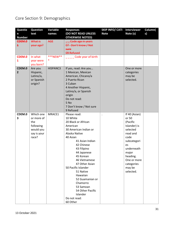# <span id="page-30-0"></span>Core Section 9: Demographics

| <b>Questio</b><br>n | <b>Question</b><br>text | Variable<br>names | <b>Responses</b><br>(DO NOT READ UNLESS | <b>SKIP INFO/ CATI</b><br><b>Note</b> | <b>Interviewer</b><br>Note (s) | Column(<br>s) |
|---------------------|-------------------------|-------------------|-----------------------------------------|---------------------------------------|--------------------------------|---------------|
| <b>Number</b>       |                         |                   | <b>OTHERWISE NOTED)</b>                 |                                       |                                |               |
| CDEM.0              | What is                 | <b>AGE</b>        | Code age in years                       |                                       |                                |               |
| $\overline{1}$      | your age?               |                   | 07 Don't know / Not                     |                                       |                                |               |
|                     |                         |                   | sure<br>09 Refused                      |                                       |                                |               |
| CDEM.0              | In what                 | ***NEW**          | Code year of birth                      |                                       |                                |               |
| 1                   | year were               | ∗                 |                                         |                                       |                                |               |
|                     | you born?               |                   |                                         |                                       |                                |               |
| CDEM.0              | Are you                 | HISPANC3          | If yes, read: Are you                   |                                       | One or more                    |               |
| $\overline{2}$      | Hispanic,               |                   | 1 Mexican, Mexican                      |                                       | categories                     |               |
|                     | Latino/a,               |                   | American, Chicano/a                     |                                       | may be                         |               |
|                     | or Spanish              |                   | 2 Puerto Rican<br>3 Cuban               |                                       | selected.                      |               |
|                     | origin?                 |                   | 4 Another Hispanic,                     |                                       |                                |               |
|                     |                         |                   | Latino/a, or Spanish                    |                                       |                                |               |
|                     |                         |                   | origin                                  |                                       |                                |               |
|                     |                         |                   | Do not read:                            |                                       |                                |               |
|                     |                         |                   | 5 No                                    |                                       |                                |               |
|                     |                         |                   | 7 Don't know / Not sure                 |                                       |                                |               |
|                     |                         |                   | 9 Refused                               |                                       |                                |               |
| CDEM.0              | Which one               | MRACE1            | Please read:                            | $\cdot$                               | If 40 (Asian)                  |               |
| 3                   | or more of              |                   | 10 White                                |                                       | or 50                          |               |
|                     | the<br>following        |                   | 20 Black or African<br>American         |                                       | (Pacific<br>Islander) is       |               |
|                     | would you               |                   | 30 American Indian or                   |                                       | selected                       |               |
|                     | say is your             |                   | Alaska Native                           |                                       | read and                       |               |
|                     | race?                   |                   | 40 Asian                                |                                       | code                           |               |
|                     |                         |                   | 41 Asian Indian                         |                                       | subcategori                    |               |
|                     |                         |                   | 42 Chinese                              |                                       | es                             |               |
|                     |                         |                   | 43 Filipino                             |                                       | underneath                     |               |
|                     |                         |                   | 44 Japanese                             |                                       | major                          |               |
|                     |                         |                   | 45 Korean                               |                                       | heading.                       |               |
|                     |                         |                   | 46 Vietnamese<br>47 Other Asian         |                                       | One or more<br>categories      |               |
|                     |                         |                   | 50 Pacific Islander                     |                                       | may be                         |               |
|                     |                         |                   | 51 Native                               |                                       | selected.                      |               |
|                     |                         |                   | Hawaiian                                |                                       |                                |               |
|                     |                         |                   | 52 Guamanian or                         |                                       |                                |               |
|                     |                         |                   | Chamorro                                |                                       |                                |               |
|                     |                         |                   | 53 Samoan                               |                                       |                                |               |
|                     |                         |                   | 54 Other Pacific                        |                                       |                                |               |
|                     |                         |                   | Islander                                |                                       |                                |               |
|                     |                         |                   | Do not read:                            |                                       |                                |               |
|                     |                         |                   | 60 Other                                |                                       |                                |               |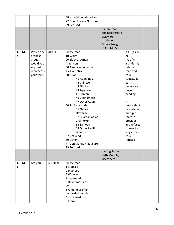|        |            |                | 88 No additional choices |                 |               |  |
|--------|------------|----------------|--------------------------|-----------------|---------------|--|
|        |            |                | 77 Don't know / Not sure |                 |               |  |
|        |            |                | 99 Refused               |                 |               |  |
|        |            |                |                          | If more than    |               |  |
|        |            |                |                          | one response to |               |  |
|        |            |                |                          | CDEM.03;        |               |  |
|        |            |                |                          | continue.       |               |  |
|        |            |                |                          | Otherwise, go   |               |  |
|        |            |                |                          | to CDEM.05      |               |  |
| CDEM.0 | Which one  | ORACE3         | Please read:             |                 | If 40 (Asian) |  |
| 4      | of these   |                | 10 White                 |                 | or 50         |  |
|        | groups     |                | 20 Black or African      |                 | (Pacific      |  |
|        | would you  |                | American                 |                 | Islander) is  |  |
|        | say best   |                | 30 American Indian or    |                 | selected      |  |
|        | represents |                | Alaska Native            |                 | read and      |  |
|        | your race? |                | 40 Asian                 |                 | code          |  |
|        |            |                | 41 Asian Indian          |                 |               |  |
|        |            |                | 42 Chinese               |                 | subcategori   |  |
|        |            |                |                          |                 | es            |  |
|        |            |                | 43 Filipino              |                 | underneath    |  |
|        |            |                | 44 Japanese              |                 | major         |  |
|        |            |                | 45 Korean                |                 | heading.      |  |
|        |            |                | 46 Vietnamese            |                 |               |  |
|        |            |                | 47 Other Asian           |                 | If            |  |
|        |            |                | 50 Pacific Islander      |                 | respondent    |  |
|        |            |                | 51 Native                |                 | has selected  |  |
|        |            |                | Hawaiian                 |                 | multiple      |  |
|        |            |                | 52 Guamanian or          |                 | races in      |  |
|        |            |                | Chamorro                 |                 | previous      |  |
|        |            |                | 53 Samoan                |                 | and refuses   |  |
|        |            |                | 54 Other Pacific         |                 | to select a   |  |
|        |            |                | Islander                 |                 | single race,  |  |
|        |            |                | Do not read:             |                 | code          |  |
|        |            |                | 60 Other                 |                 | refused       |  |
|        |            |                | 77 Don't know / Not sure |                 |               |  |
|        |            |                | 99 Refused               |                 |               |  |
|        |            |                |                          | If using Sex at |               |  |
|        |            |                |                          | Birth Module,   |               |  |
|        |            |                |                          | insert here     |               |  |
| CDEM.0 | Are you    | <b>MARITAL</b> | Please read:             |                 |               |  |
| 5      |            |                | 1 Married                |                 |               |  |
|        |            |                | 2 Divorced               |                 |               |  |
|        |            |                | 3 Widowed                |                 |               |  |
|        |            |                |                          |                 |               |  |
|        |            |                | 4 Separated              |                 |               |  |
|        |            |                | 5 Never married          |                 |               |  |
|        |            |                | <b>Or</b>                |                 |               |  |
|        |            |                | 6 A member of an         |                 |               |  |
|        |            |                | unmarried couple         |                 |               |  |
|        |            |                | Do not read:             |                 |               |  |
|        |            |                | 9 Refused                |                 |               |  |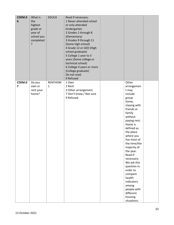| CDEM.0<br>$\boldsymbol{6}$        | What is<br>the<br>highest<br>grade or<br>year of<br>school you<br>completed<br>? | <b>EDUCA</b>                   | Read if necessary:<br>1 Never attended school<br>or only attended<br>kindergarten<br>2 Grades 1 through 8<br>(Elementary)<br>3 Grades 9 through 11<br>(Some high school)<br>4 Grade 12 or GED (High<br>school graduate)<br>5 College 1 year to 3<br>years (Some college or<br>technical school)<br>6 College 4 years or more<br>(College graduate)<br>Do not read:<br>9 Refused |                                                                                                                                                                                                                                                                                                                                                                                                                  |  |
|-----------------------------------|----------------------------------------------------------------------------------|--------------------------------|---------------------------------------------------------------------------------------------------------------------------------------------------------------------------------------------------------------------------------------------------------------------------------------------------------------------------------------------------------------------------------|------------------------------------------------------------------------------------------------------------------------------------------------------------------------------------------------------------------------------------------------------------------------------------------------------------------------------------------------------------------------------------------------------------------|--|
| CDEM.0<br>$\overline{\mathbf{z}}$ | Do you<br>own or<br>rent your<br>home?                                           | <b>RENTHOM</b><br>$\mathbf{1}$ | 1 Own<br>2 Rent<br>3 Other arrangement<br>7 Don't know / Not sure<br>9 Refused                                                                                                                                                                                                                                                                                                  | Other<br>arrangemen<br>t may<br>include<br>group<br>home,<br>staying with<br>friends or<br>family<br>without<br>paying rent.<br>Home is<br>defined as<br>the place<br>where you<br>live most of<br>the time/the<br>majority of<br>the year.<br>Read if<br>necessary:<br>We ask this<br>question in<br>order to<br>compare<br>health<br>indicators<br>among<br>people with<br>different<br>housing<br>situations. |  |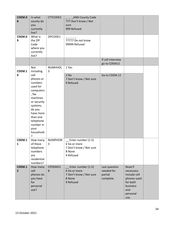| CDEM.0<br>8              | In what<br>county do<br>you<br>currently<br>live?                                                                                                                                                                | CTYCODE2            | _ANSI County Code<br>777 Don't know / Not<br>sure<br>999 Refused                      |                                                     |                                                                                                         |  |
|--------------------------|------------------------------------------------------------------------------------------------------------------------------------------------------------------------------------------------------------------|---------------------|---------------------------------------------------------------------------------------|-----------------------------------------------------|---------------------------------------------------------------------------------------------------------|--|
| CDEM.0<br>9              | What is<br>the ZIP<br>Code<br>where you<br>currently<br>live?                                                                                                                                                    | ZIPCODE1            | 77777 Do not know<br>99999 Refused                                                    |                                                     |                                                                                                         |  |
|                          |                                                                                                                                                                                                                  |                     |                                                                                       | If cell interview<br>go to CDEM12                   |                                                                                                         |  |
| CDEM.1<br>$\mathbf 0$    | Not<br>including<br>cell<br>phones or<br>numbers<br>used for<br>computers<br>, fax<br>machines<br>or security<br>systems,<br>do you<br>have more<br>than one<br>telephone<br>number in<br>your<br>household<br>P | <b>NUMHHOL</b><br>3 | 1 Yes<br>2 No<br>7 Don't know / Not sure<br>9 Refused                                 | Go to CDEM.12                                       |                                                                                                         |  |
| CDEM.1<br>$\mathbf{1}$   | How many<br>of these<br>telephone<br>numbers<br>are<br>residential<br>numbers?                                                                                                                                   | <b>NUMPHON</b><br>3 | Enter number (1-5)<br>6 Six or more<br>7 Don't know / Not sure<br>8 None<br>9 Refused |                                                     |                                                                                                         |  |
| CDEM.1<br>$\overline{2}$ | How many<br>cell<br>phones do<br>you have<br>for<br>personal<br>use?                                                                                                                                             | CPDEMO1<br>B        | Enter number (1-5)<br>6 Six or more<br>7 Don't know / Not sure<br>8 None<br>9 Refused | Last question<br>needed for<br>partial<br>complete. | Read if<br>necessary:<br>Include cell<br>phones used<br>for both<br>business<br>and<br>personal<br>use. |  |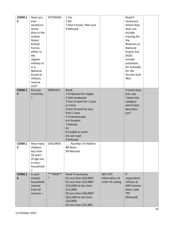| CDEM.1 | Have you              | VETERAN3        | 1 Yes                                |                 | Read if                 |  |
|--------|-----------------------|-----------------|--------------------------------------|-----------------|-------------------------|--|
| 3      | ever                  |                 | 2 No                                 |                 | necessary:              |  |
|        | served on             |                 | 7 Don't know / Not sure              |                 | Active duty             |  |
|        | active                |                 | 9 Refused                            |                 | does not                |  |
|        | duty in the<br>United |                 |                                      |                 | include                 |  |
|        | <b>States</b>         |                 |                                      |                 | training for<br>the     |  |
|        | Armed                 |                 |                                      |                 |                         |  |
|        |                       |                 |                                      |                 | Reserves or<br>National |  |
|        | Forces,<br>either in  |                 |                                      |                 | Guard, but              |  |
|        | the                   |                 |                                      |                 | <b>DOES</b>             |  |
|        | regular               |                 |                                      |                 | include                 |  |
|        | military or           |                 |                                      |                 | activation,             |  |
|        | in a                  |                 |                                      |                 | for example,            |  |
|        | National              |                 |                                      |                 | for the                 |  |
|        | Guard or              |                 |                                      |                 | Persian Gulf            |  |
|        | military              |                 |                                      |                 | War.                    |  |
|        | reserve               |                 |                                      |                 |                         |  |
|        | unit?                 |                 |                                      |                 |                         |  |
| CDEM.1 | Are you               | EMPLOY1         | Read:                                |                 | If more than            |  |
| 4      | currently             |                 | 1 Employed for wages                 |                 | one, say                |  |
|        | ?                     |                 | 2 Self-employed                      |                 | "select the             |  |
|        |                       |                 | 3 Out of work for 1 year             |                 | category                |  |
|        |                       |                 | or more                              |                 | which best              |  |
|        |                       |                 | 4 Out of work for less               |                 | describes               |  |
|        |                       |                 | than 1 year                          |                 | you".                   |  |
|        |                       |                 | 5 A Homemaker                        |                 |                         |  |
|        |                       |                 | 6 A Student                          |                 |                         |  |
|        |                       |                 | 7 Retired                            |                 |                         |  |
|        |                       |                 | Or                                   |                 |                         |  |
|        |                       |                 | 8 Unable to work                     |                 |                         |  |
|        |                       |                 | Do not read:                         |                 |                         |  |
| CDEM.1 | How many              | <b>CHILDREN</b> | 9 Refused<br>Number of children      |                 |                         |  |
| 5      | children              |                 | 88 None                              |                 |                         |  |
|        | less than             |                 | 99 Refused                           |                 |                         |  |
|        | 18 years              |                 |                                      |                 |                         |  |
|        | of age live           |                 |                                      |                 |                         |  |
|        | in your               |                 |                                      |                 |                         |  |
|        | household             |                 |                                      |                 |                         |  |
|        | ?                     |                 |                                      |                 |                         |  |
| CDEM.1 | Is your               | ***NEW**        | Read if necessary:                   | <b>SEE CATI</b> | If                      |  |
| 6      | annual                | $\ast$          | 01 Less than \$10,000?               | information of  | respondent              |  |
|        | household             |                 | 02 Less than \$15,000?               | order of coding | refuses at              |  |
|        | income                |                 | (\$10,000 to less than               |                 | ANY income              |  |
|        | from all              |                 | $$15,000$ )                          |                 | level, code             |  |
|        | sources-              |                 | 03 Less than \$20,000?               |                 | '99'                    |  |
|        |                       |                 | (\$15,000 to less than               |                 | (Refused)               |  |
|        |                       |                 |                                      |                 |                         |  |
|        |                       |                 | $$20,000$ )<br>04 Less than \$25,000 |                 |                         |  |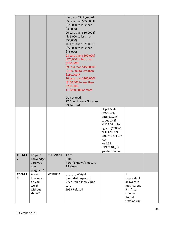|                          |                      |          | If no, ask 05; if yes, ask<br>05 Less than \$35,000 If<br>(\$25,000 to less than<br>$$35,000$ )<br>06 Less than \$50,000 If<br>(\$35,000 to less than<br>\$50,000<br>07 Less than \$75,000?<br>(\$50,000 to less than<br>\$75,000)<br>08 Less than \$100,000?<br>(\$75,000 to less than<br>\$100,000<br>09 Less than \$150,000?<br>(\$100,000 to less than<br>\$150,000)?<br>10 Less than \$200,000?<br>(\$150,000 to less than<br>\$200,000<br>11 \$200,000 or more<br>Do not read:<br>77 Don't know / Not sure<br>99 Refused | Skip if Male<br>(MSAB.01,<br><b>BIRTHSEX, is</b><br>coded 1). If                                                                  |                            |  |
|--------------------------|----------------------|----------|--------------------------------------------------------------------------------------------------------------------------------------------------------------------------------------------------------------------------------------------------------------------------------------------------------------------------------------------------------------------------------------------------------------------------------------------------------------------------------------------------------------------------------|-----------------------------------------------------------------------------------------------------------------------------------|----------------------------|--|
|                          |                      |          |                                                                                                                                                                                                                                                                                                                                                                                                                                                                                                                                | MSAB.01=missi<br>ng and (CP05=1<br>or LL12=1; or<br>$LL09 = 1$ or $LL07$<br>$=1$ ).<br>or AGE<br>(CDEM.01), is<br>greater than 49 |                            |  |
| CDEM.1<br>$\overline{7}$ | To your<br>knowledge | PREGNANT | 1 Yes<br>$2$ No                                                                                                                                                                                                                                                                                                                                                                                                                                                                                                                |                                                                                                                                   |                            |  |
|                          | , are you            |          | 7 Don't know / Not sure                                                                                                                                                                                                                                                                                                                                                                                                                                                                                                        |                                                                                                                                   |                            |  |
|                          | now<br>pregnant?     |          | 9 Refused                                                                                                                                                                                                                                                                                                                                                                                                                                                                                                                      |                                                                                                                                   |                            |  |
| CDEM.1                   | About                | WEIGHT2  | Weight                                                                                                                                                                                                                                                                                                                                                                                                                                                                                                                         |                                                                                                                                   | If                         |  |
| 8                        | how much             |          | (pounds/kilograms)                                                                                                                                                                                                                                                                                                                                                                                                                                                                                                             |                                                                                                                                   | respondent                 |  |
|                          | do you               |          | 7777 Don't know / Not                                                                                                                                                                                                                                                                                                                                                                                                                                                                                                          |                                                                                                                                   | answers in                 |  |
|                          | weigh<br>without     |          | sure<br>9999 Refused                                                                                                                                                                                                                                                                                                                                                                                                                                                                                                           |                                                                                                                                   | metrics, put<br>9 in first |  |
|                          | shoes?               |          |                                                                                                                                                                                                                                                                                                                                                                                                                                                                                                                                |                                                                                                                                   | column.                    |  |
|                          |                      |          |                                                                                                                                                                                                                                                                                                                                                                                                                                                                                                                                |                                                                                                                                   | Round                      |  |
|                          |                      |          |                                                                                                                                                                                                                                                                                                                                                                                                                                                                                                                                |                                                                                                                                   | fractions up               |  |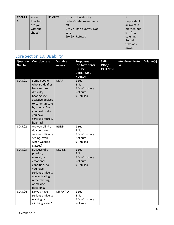| CDEM.1 | About    | HEIGHT3 | Height (ft /            | f            |  |
|--------|----------|---------|-------------------------|--------------|--|
| 9      | how tall |         | inches/meters/centimete | respondent   |  |
|        | are you  |         | rs)                     | answers in   |  |
|        | without  |         | 77/77 Don't know / Not  | metrics, put |  |
|        | shoes?   |         | sure                    | 9 in first   |  |
|        |          |         | 99/99 Refused           | column.      |  |
|        |          |         |                         | Round        |  |
|        |          |         |                         | fractions    |  |
|        |          |         |                         | down         |  |

#### Core Section 10: Disability

| <b>Question</b><br><b>Number</b> | <b>Question text</b>                                                                                                                                                                                | Variable<br>names | <b>Responses</b><br>(DO NOT READ<br><b>UNLESS</b><br><b>OTHERWISE</b><br><b>NOTED)</b> | <b>SKIP</b><br>INFO/<br><b>CATI Note</b> | <b>Interviewer Note</b><br>(s) | Column(s) |
|----------------------------------|-----------------------------------------------------------------------------------------------------------------------------------------------------------------------------------------------------|-------------------|----------------------------------------------------------------------------------------|------------------------------------------|--------------------------------|-----------|
| <b>CDIS.01</b>                   | Some people<br>who are deaf or<br>have serious<br>difficulty<br>hearing use<br>assistive devices<br>to communicate<br>by phone. Are<br>you deaf or do<br>you have<br>serious difficulty<br>hearing? | <b>DEAF</b>       | 1 Yes<br>$2$ No<br>7 Don't know /<br>Not sure<br>9 Refused                             |                                          |                                |           |
| <b>CDIS.02</b>                   | Are you blind or<br>do you have<br>serious difficulty<br>seeing, even<br>when wearing<br>glasses?                                                                                                   | <b>BLIND</b>      | 1 Yes<br>$2$ No<br>7 Don't know /<br>Not sure<br>9 Refused                             |                                          |                                |           |
| <b>CDIS.03</b>                   | Because of a<br>physical,<br>mental, or<br>emotional<br>condition, do<br>you have<br>serious difficulty<br>concentrating,<br>remembering,<br>or making<br>decisions?                                | <b>DECIDE</b>     | 1 Yes<br>2 No<br>7 Don't know /<br>Not sure<br>9 Refused                               |                                          |                                |           |
| <b>CDIS.04</b>                   | Do you have<br>serious difficulty<br>walking or<br>climbing stairs?                                                                                                                                 | <b>DIFFWALK</b>   | 1 Yes<br>2 No<br>7 Don't know /<br>Not sure                                            |                                          |                                |           |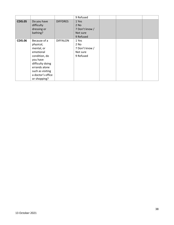|                |                                                                                                                                                                                 |                 | 9 Refused                                                  |  |  |
|----------------|---------------------------------------------------------------------------------------------------------------------------------------------------------------------------------|-----------------|------------------------------------------------------------|--|--|
| <b>CDIS.05</b> | Do you have<br>difficulty<br>dressing or<br>bathing?                                                                                                                            | <b>DIFFDRES</b> | 1 Yes<br>$2$ No<br>7 Don't know /<br>Not sure<br>9 Refused |  |  |
| <b>CDIS.06</b> | Because of a<br>physical,<br>mental, or<br>emotional<br>condition, do<br>you have<br>difficulty doing<br>errands alone<br>such as visiting<br>a doctor's office<br>or shopping? | <b>DIFFALON</b> | 1 Yes<br>2 No<br>7 Don't know /<br>Not sure<br>9 Refused   |  |  |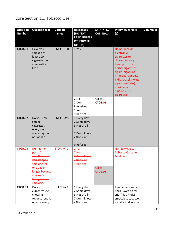### Core Section 11: Tobacco Use

| <b>Question</b><br><b>Number</b> | <b>Question text</b>                                                                                                                                 | Variable<br>names | <b>Responses</b><br>(DO NOT                                                           | <b>SKIP INFO/</b><br><b>CATI Note</b> | <b>Interviewer Note</b><br>(s)                                                                                                                                                                                                                               | Column(s) |
|----------------------------------|------------------------------------------------------------------------------------------------------------------------------------------------------|-------------------|---------------------------------------------------------------------------------------|---------------------------------------|--------------------------------------------------------------------------------------------------------------------------------------------------------------------------------------------------------------------------------------------------------------|-----------|
|                                  |                                                                                                                                                      |                   | <b>READ UNLESS</b><br><b>OTHERWISE</b><br><b>NOTED)</b>                               |                                       |                                                                                                                                                                                                                                                              |           |
| <b>CTOB.01</b>                   | Have you<br>smoked at<br>least 100<br>cigarettes in<br>your entire<br>life?                                                                          | SMOKE100          | 1 Yes<br>2 No                                                                         | Go to                                 | Do not include:<br>electronic<br>cigarettes (e-<br>cigarettes, njoy,<br>bluetip, JUUL),<br>herbal cigarettes,<br>cigars, cigarillos,<br>little cigars, pipes,<br>bidis, kreteks, water<br>pipes (hookahs) or<br>marijuana.<br>5 packs = $100$<br>cigarettes. |           |
|                                  |                                                                                                                                                      |                   | 7 Don't<br>know/Not<br>Sure<br>9 Refused                                              | CTOB <sub>.03</sub>                   |                                                                                                                                                                                                                                                              |           |
| <b>CTOB.02</b>                   | Do you now<br>smoke<br>cigarettes<br>every day,<br>some days, or<br>not at all?                                                                      | SMOKDAY2          | 1 Every day<br>2 Some days<br>3 Not at all<br>7 Don't know<br>/ Not sure<br>9 Refused |                                       |                                                                                                                                                                                                                                                              |           |
| <b>CTOB.03</b>                   | <b>During the</b><br>past 12<br>months, have<br>you stopped<br>smoking for<br>one day or<br>longer because<br>you were<br>trying to quit<br>smoking? | <b>STOPSMK2</b>   | $4$ Yes<br>$2$ -No<br>7-Don't know<br><b>Aot sure</b><br>9 Refused                    | Go to<br><b>CTOB.05</b>               | NOTE: Move to<br><b>Tobacco Cessation</b><br><b>Module</b>                                                                                                                                                                                                   |           |
| <b>CTOB.03</b>                   | Do you<br>currently use<br>chewing<br>tobacco, snuff,<br>or snus every                                                                               | USENOW3           | 1 Every day<br>2 Some days<br>3 Not at all<br>7 Don't know<br>/ Not sure              |                                       | Read if necessary:<br>Snus (Swedish for<br>snuff) is a moist<br>smokeless tobacco,<br>usually sold in small                                                                                                                                                  |           |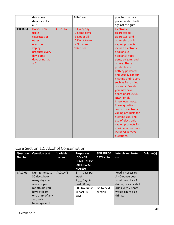|                | day, some<br>days, or not at<br>all? |                | 9 Refused    |                | pouches that are<br>placed under the lip |
|----------------|--------------------------------------|----------------|--------------|----------------|------------------------------------------|
| <b>CTOB.04</b> | Do you now                           | <b>ECIGNOW</b> | 1 Every day  | Electronic     | against the gum.                         |
|                | use e-                               |                | 2 Some days  | cigarettes (e- |                                          |
|                | cigarettes or                        |                | 3 Not at all |                | cigarettes) and                          |
|                | other                                |                | 7 Don't know |                | other electronic                         |
|                | electronic                           |                | / Not sure   |                | vaping products                          |
|                | vaping                               |                | 9 Refused    |                | include electronic                       |
|                | products every                       |                |              | hookahs (e-    |                                          |
|                | day, some                            |                |              |                | hookahs), vape                           |
|                | days or not at                       |                |              |                | pens, e-cigars, and                      |
|                | all?                                 |                |              | others. These  |                                          |
|                |                                      |                |              | products are   |                                          |
|                |                                      |                |              |                | battery-powered                          |
|                |                                      |                |              |                | and usually contain                      |
|                |                                      |                |              |                | nicotine and flavors                     |
|                |                                      |                |              |                | such as fruit, mint,                     |
|                |                                      |                |              |                | or candy. Brands                         |
|                |                                      |                |              | you may have   |                                          |
|                |                                      |                |              |                | heard of are JUUL,                       |
|                |                                      |                |              | NJOY, or blu.  |                                          |
|                |                                      |                |              |                | Interviewer note:                        |
|                |                                      |                |              |                | These questions                          |
|                |                                      |                |              |                | concern electronic                       |
|                |                                      |                |              |                | vaping products for                      |
|                |                                      |                |              |                | nicotine use. The                        |
|                |                                      |                |              |                | use of electronic                        |
|                |                                      |                |              |                | vaping products for                      |
|                |                                      |                |              |                | marijuana use is not                     |
|                |                                      |                |              |                | included in these                        |
|                |                                      |                |              | questions.     |                                          |

# Core Section 12: Alcohol Consumption

| <b>Question</b><br><b>Number</b> | <b>Question text</b>                                                                                                                                | <b>Variable</b><br>names | <b>Responses</b><br><b>(DO NOT</b><br><b>READ UNLESS</b><br><b>OTHERWISE</b><br><b>NOTED</b> ) | <b>SKIP INFO/</b><br><b>CATI Note</b> | <b>Interviewer Note</b><br>(s)                                                                                                          | Column(s) |
|----------------------------------|-----------------------------------------------------------------------------------------------------------------------------------------------------|--------------------------|------------------------------------------------------------------------------------------------|---------------------------------------|-----------------------------------------------------------------------------------------------------------------------------------------|-----------|
| <b>CALC.01</b>                   | During the past<br>30 days, how<br>many days per<br>week or per<br>month did you<br>have at least<br>one drink of any<br>alcoholic<br>beverage such | ALCDAY5                  | 1 Days per<br>week<br>$2 \_$ Days in<br>past 30 days<br>888 No drinks<br>in past 30<br>days    | Go to next<br>section                 | Read if necessary:<br>A 40-ounce beer<br>would count as 3<br>drinks, or a cocktail<br>drink with 2 shots<br>would count as 2<br>drinks. |           |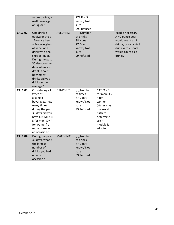|                | as beer, wine, a<br>malt beverage<br>or liquor?                                                                                                                                                                 |                 | 777 Don't<br>know / Not<br>sure                                                                                        |                                                                                                                                           |                                                                                                                                         |  |
|----------------|-----------------------------------------------------------------------------------------------------------------------------------------------------------------------------------------------------------------|-----------------|------------------------------------------------------------------------------------------------------------------------|-------------------------------------------------------------------------------------------------------------------------------------------|-----------------------------------------------------------------------------------------------------------------------------------------|--|
| <b>CALC.02</b> | One drink is<br>equivalent to a<br>12-ounce beer,<br>a 5-ounce glass<br>of wine, or a<br>drink with one<br>shot of liquor.<br>During the past<br>30 days, on the<br>days when you<br>drank, about<br>how many   | AVEDRNK3        | 999 Refused<br>$\overline{\phantom{a}}$ Number<br>of drinks<br>88 None<br>77 Don't<br>know / Not<br>sure<br>99 Refused |                                                                                                                                           | Read if necessary:<br>A 40-ounce beer<br>would count as 3<br>drinks, or a cocktail<br>drink with 2 shots<br>would count as 2<br>drinks. |  |
|                | drinks did you<br>drink on the<br>average?                                                                                                                                                                      |                 |                                                                                                                        |                                                                                                                                           |                                                                                                                                         |  |
| <b>CALC.03</b> | Considering all<br>types of<br>alcoholic<br>beverages, how<br>many times<br>during the past<br>30 days did you<br>have $X$ [CATI $X =$<br>5 for men, $X = 4$<br>for women] or<br>more drinks on<br>an occasion? | DRNK3GE5        | Number<br>of times<br>77 Don't<br>know / Not<br>sure<br>99 Refused                                                     | CATI $X = 5$<br>for men, $X =$<br>4 for<br>women<br>(states may<br>use sex at<br>birth to<br>determine<br>sex if<br>module is<br>adopted) |                                                                                                                                         |  |
| <b>CALC.04</b> | During the past<br>30 days, what is<br>the largest<br>number of<br>drinks you had<br>on any<br>occasion?                                                                                                        | <b>MAXDRNKS</b> | Number<br>of drinks<br>77 Don't<br>know / Not<br>sure<br>99 Refused                                                    |                                                                                                                                           |                                                                                                                                         |  |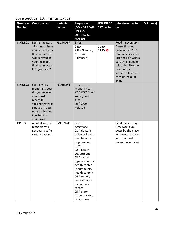#### Core Section 13: Immunization

| <b>Question</b><br><b>Number</b> | <b>Question text</b>                                                                                                                                                 | Variable<br>names | <b>Responses</b><br>(DO NOT READ<br><b>UNLESS</b><br><b>OTHERWISE</b><br><b>NOTED)</b>                                                                                                                                                                                                                                       | <b>SKIP INFO/</b><br><b>CATI Note</b> | <b>Interviewer Note</b><br>(s)                                                                                                                                                                                              | Column(s) |
|----------------------------------|----------------------------------------------------------------------------------------------------------------------------------------------------------------------|-------------------|------------------------------------------------------------------------------------------------------------------------------------------------------------------------------------------------------------------------------------------------------------------------------------------------------------------------------|---------------------------------------|-----------------------------------------------------------------------------------------------------------------------------------------------------------------------------------------------------------------------------|-----------|
| <b>CIMM.01</b>                   | During the past<br>12 months, have<br>you had either a<br>flu vaccine that<br>was sprayed in<br>your nose or a<br>flu shot injected<br>into your arm?                | <b>FLUSHOT7</b>   | 1 Yes<br>2 No<br>7 Don't know /<br>Not sure<br>9 Refused                                                                                                                                                                                                                                                                     | Go to<br>CIMM.04                      | Read if necessary:<br>A new flu shot<br>came out in 2011<br>that injects vaccine<br>into the skin with a<br>very small needle.<br>It is called Fluzone<br>Intradermal<br>vaccine. This is also<br>considered a flu<br>shot. |           |
| <b>CIMM.02</b>                   | During what<br>month and year<br>did you receive<br>your most<br>recent flu<br>vaccine that was<br>sprayed in your<br>nose or flu shot<br>injected into<br>your arm? | FLSHTMY3          | Month / Year<br>77 / 7777 Don't<br>know / Not<br>sure<br>09 / 9999<br>Refused                                                                                                                                                                                                                                                |                                       |                                                                                                                                                                                                                             |           |
| C11.03                           | At what kind of<br>place did you<br>get your last flu<br>shot or vaccine?                                                                                            | <b>IMFVPLAC</b>   | Read if<br>necessary:<br>01 A doctor's<br>office or health<br>maintenance<br>organization<br>(HMO)<br>02 A health<br>department<br>03 Another<br>type of clinic or<br>health center<br>(a community<br>health center)<br>04 A senior,<br>recreation, or<br>community<br>center<br>05 A store<br>(supermarket,<br>drug store) |                                       | Read if necessary:<br>How would you<br>describe the place<br>where you went to<br>get your most<br>recent flu vaccine?                                                                                                      |           |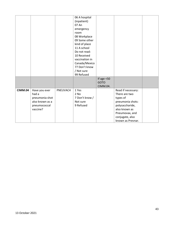|                |                                                                                         |          | 06 A hospital<br>(inpatient)<br>07 An<br>emergency<br>room<br>08 Workplace<br>09 Some other<br>kind of place<br>11 A school<br>Do not read:<br>10 Received<br>vaccination in<br>Canada/Mexico<br>77 Don't know |                                          |                                                                                                                                                                   |  |
|----------------|-----------------------------------------------------------------------------------------|----------|----------------------------------------------------------------------------------------------------------------------------------------------------------------------------------------------------------------|------------------------------------------|-------------------------------------------------------------------------------------------------------------------------------------------------------------------|--|
|                |                                                                                         |          | / Not sure<br>99 Refused                                                                                                                                                                                       |                                          |                                                                                                                                                                   |  |
|                |                                                                                         |          |                                                                                                                                                                                                                | If age $<$ 50<br><b>GOTO</b><br>CIMM.04. |                                                                                                                                                                   |  |
| <b>CIMM.04</b> | Have you ever<br>had a<br>pneumonia shot<br>also known as a<br>pneumococcal<br>vaccine? | PNEUVAC4 | 1 Yes<br>2 No<br>7 Don't know /<br>Not sure<br>9 Refused                                                                                                                                                       |                                          | Read if necessary:<br>There are two<br>types of<br>pneumonia shots:<br>polysaccharide,<br>also known as<br>Pneumovax, and<br>conjugate, also<br>known as Prevnar. |  |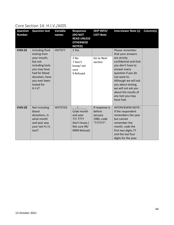#### Core Section 14: H.I.V./AIDS

| <b>Question</b><br><b>Number</b> | <b>Question text</b>                                                                                                                                                     | Variable<br>names | <b>Responses</b><br>(DO NOT<br><b>READ UNLESS</b><br><b>OTHERWISE</b><br><b>NOTED)</b> | <b>SKIP INFO/</b><br><b>CATI Note</b>                          | <b>Interviewer Note (s)</b>                                                                                                                                                                                                                                                            | Column(s) |
|----------------------------------|--------------------------------------------------------------------------------------------------------------------------------------------------------------------------|-------------------|----------------------------------------------------------------------------------------|----------------------------------------------------------------|----------------------------------------------------------------------------------------------------------------------------------------------------------------------------------------------------------------------------------------------------------------------------------------|-----------|
| <b>CHIV.01</b>                   | Including fluid<br>testing from<br>your mouth,<br>but not<br>including tests<br>you may have<br>had for blood<br>donation, have<br>you ever been<br>tested for<br>H.I.V? | HIVTST7           | 1 Yes<br>2 No<br>7 Don't<br>know/not<br>sure<br>9 Refused                              | Go to Next<br>section                                          | Please remember<br>that your answers<br>are strictly<br>confidential and that<br>you don't have to<br>answer every<br>question if you do<br>not want to.<br>Although we will ask<br>you about testing,<br>we will not ask you<br>about the results of<br>any test you may<br>have had. |           |
| <b>CHIV.02</b>                   | Not including<br>blood<br>donations, in<br>what month<br>and year was<br>your last H.I.V.<br>test?                                                                       | HIVTSTD3          | Code month<br>and year<br>77/ 7777<br>Don't know /<br>Not sure 99/<br>9999 Refused     | If response is<br>before<br>January<br>1985, code<br>"777777". | <b>INTERVIEWER NOTE:</b><br>If the respondent<br>remembers the year<br>but cannot<br>remember the<br>month, code the<br>first two digits 77<br>and the last four<br>digits for the year.                                                                                               |           |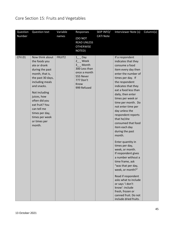### Core Section 15: Fruits and Vegetables

| Question      | <b>Question text</b>                                                                                                                                                                                                                                                                          | Variable      | Responses                                                                                                                    | SKIP INFO/       | Interviewer Note (s)                                                                                                                                                                                                                                                                                                                                                                                                                                                                                                                                                                                                                                                                                                                       | Column(s) |
|---------------|-----------------------------------------------------------------------------------------------------------------------------------------------------------------------------------------------------------------------------------------------------------------------------------------------|---------------|------------------------------------------------------------------------------------------------------------------------------|------------------|--------------------------------------------------------------------------------------------------------------------------------------------------------------------------------------------------------------------------------------------------------------------------------------------------------------------------------------------------------------------------------------------------------------------------------------------------------------------------------------------------------------------------------------------------------------------------------------------------------------------------------------------------------------------------------------------------------------------------------------------|-----------|
| Number        |                                                                                                                                                                                                                                                                                               | names         | (DO NOT<br><b>READ UNLESS</b><br><b>OTHERWISE</b><br>NOTED)                                                                  | <b>CATI Note</b> |                                                                                                                                                                                                                                                                                                                                                                                                                                                                                                                                                                                                                                                                                                                                            |           |
| <b>CFV.01</b> | Now think about<br>the foods you<br>ate or drank<br>during the past<br>month, that is,<br>the past 30 days,<br>including meals<br>and snacks.<br>Not including<br>juices, how<br>often did you<br>eat fruit? You<br>can tell me<br>times per day,<br>times per week<br>or times per<br>month. | <b>FRUIT2</b> | $1$ <sub>_</sub> Day<br>2_ Week<br>3 Month<br>300 Less than<br>once a month<br>555 Never<br>777 Don't<br>Know<br>999 Refused |                  | If a respondent<br>indicates that they<br>consume a food<br>item every day then<br>enter the number of<br>times per day. If<br>the respondent<br>indicates that they<br>eat a food less than<br>daily, then enter<br>times per week or<br>time per month. Do<br>not enter time per<br>day unless the<br>respondent reports<br>that he/she<br>consumed that food<br>item each day<br>during the past<br>month.<br>Enter quantity in<br>times per day,<br>week, or month.<br>If respondent gives<br>a number without a<br>time frame, ask<br>"was that per day,<br>week, or month?"<br>Read if respondent<br>asks what to include<br>or says 'i don't<br>know': include<br>fresh, frozen or<br>canned fruit. Do not<br>include dried fruits. |           |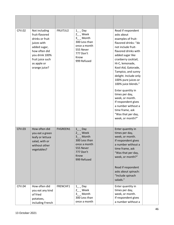| <b>CFV.02</b> | Not including<br>fruit-flavored<br>drinks or fruit<br>juices with<br>added sugar,<br>how often did<br>you drink 100%<br>fruit juice such<br>as apple or<br>orange juice? | FRUITJU2        | $1$ <sub>_</sub> Day<br>$2_{-}$ Week<br>$3$ <sub>_</sub> Month<br>300 Less than<br>once a month<br>555 Never<br>777 Don't<br>Know<br>999 Refused | Read if respondent<br>asks about<br>examples of fruit-<br>flavored drinks: "do<br>not include fruit-<br>flavored drinks with<br>added sugar like<br>cranberry cocktail,<br>Hi-C, lemonade,<br>Kool-Aid, Gatorade,<br>Tampico, and sunny<br>delight. Include only<br>100% pure juices or<br>100% juice blends."<br>Enter quantity in<br>times per day,<br>week, or month.<br>If respondent gives<br>a number without a<br>time frame, ask<br>"Was that per day,<br>week, or month?" |  |
|---------------|--------------------------------------------------------------------------------------------------------------------------------------------------------------------------|-----------------|--------------------------------------------------------------------------------------------------------------------------------------------------|------------------------------------------------------------------------------------------------------------------------------------------------------------------------------------------------------------------------------------------------------------------------------------------------------------------------------------------------------------------------------------------------------------------------------------------------------------------------------------|--|
| <b>CFV.03</b> | How often did<br>you eat a green<br>leafy or lettuce<br>salad, with or<br>without other<br>vegetables?                                                                   | <b>FVGREEN1</b> | Day<br>$1 \quad$<br>$2$ _ Week<br>Month<br>300 Less than<br>once a month<br>555 Never<br>777 Don't<br>Know<br>999 Refused                        | Enter quantity in<br>times per day,<br>week, or month.<br>If respondent gives<br>a number without a<br>time frame, ask<br>"Was that per day,<br>week, or month?"<br>Read if respondent<br>asks about spinach:<br>"Include spinach<br>salads."                                                                                                                                                                                                                                      |  |
| <b>CFV.04</b> | How often did<br>you eat any kind<br>of fried<br>potatoes,<br>including French                                                                                           | FRENCHF1        | $1$ <sub>_</sub> $\Box$ Day<br>2_ Week<br>$3_{--}$ Month<br>300 Less than<br>once a month                                                        | Enter quantity in<br>times per day,<br>week, or month.<br>If respondent gives<br>a number without a                                                                                                                                                                                                                                                                                                                                                                                |  |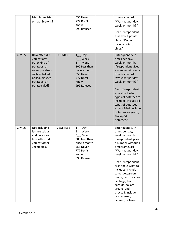|               | fries, home fries,<br>or hash browns?                                                                                                                 |          | 555 Never<br>777 Don't<br>Know<br>999 Refused                                                                                      | time frame, ask<br>"Was that per day,<br>week, or month?"<br>Read if respondent<br>asks about potato<br>chips: "Do not<br>include potato<br>chips."                                                                                                                                                                                                                                         |  |
|---------------|-------------------------------------------------------------------------------------------------------------------------------------------------------|----------|------------------------------------------------------------------------------------------------------------------------------------|---------------------------------------------------------------------------------------------------------------------------------------------------------------------------------------------------------------------------------------------------------------------------------------------------------------------------------------------------------------------------------------------|--|
| <b>CFV.05</b> | How often did<br>you eat any<br>other kind of<br>potatoes, or<br>sweet potatoes,<br>such as baked,<br>boiled, mashed<br>potatoes, or<br>potato salad? | POTATOE1 | $1$ <sub>_</sub> Day<br>$2_{-}$ Week<br>3_ Month<br>300 Less than<br>once a month<br>555 Never<br>777 Don't<br>Know<br>999 Refused | Enter quantity in<br>times per day,<br>week, or month.<br>If respondent gives<br>a number without a<br>time frame, ask<br>"Was that per day,<br>week, or month?"<br>Read if respondent<br>asks about what<br>types of potatoes to<br>include: "Include all<br>types of potatoes<br>except fried. Include<br>potatoes au gratin,<br>scalloped<br>potatoes."                                  |  |
| CFV.06        | Not including<br>lettuce salads<br>and potatoes,<br>how often did<br>you eat other<br>vegetables?                                                     | VEGETAB2 | $1$ <sub>_</sub> Day<br>2 Week<br>3_ Month<br>300 Less than<br>once a month<br>555 Never<br>777 Don't<br>Know<br>999 Refused       | Enter quantity in<br>times per day,<br>week, or month.<br>If respondent gives<br>a number without a<br>time frame, ask<br>"Was that per day,<br>week, or month?"<br>Read if respondent<br>asks about what to<br>include: "Include<br>tomatoes, green<br>beans, carrots, corn,<br>cabbage, bean<br>sprouts, collard<br>greens, and<br>broccoli. Include<br>raw, cooked,<br>canned, or frozen |  |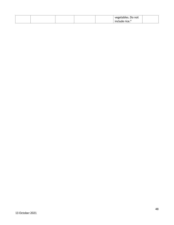|  |  | vegetables. Do not |  |
|--|--|--------------------|--|
|  |  | include rice."     |  |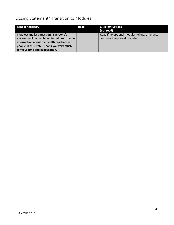### Closing Statement/ Transition to Modules

| <b>Read if necessary</b>                                                             | Read | <b>CATI instructions</b><br>(not read)                                         |
|--------------------------------------------------------------------------------------|------|--------------------------------------------------------------------------------|
| That was my last question. Everyone's<br>answers will be combined to help us provide |      | Read if no optional modules follow, otherwise<br>continue to optional modules. |
| information about the health practices of                                            |      |                                                                                |
| people in this state. Thank you very much                                            |      |                                                                                |
| for your time and cooperation.                                                       |      |                                                                                |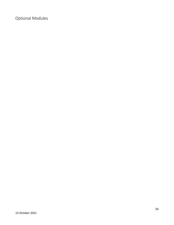Optional Modules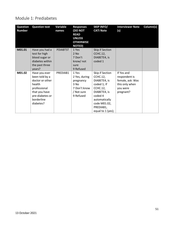#### Module 1: Prediabetes

| <b>Question</b><br><b>Number</b> | <b>Question text</b>                                                                                                                        | Variable<br>names | <b>Responses</b><br>(DO NOT<br><b>READ</b><br><b>UNLESS</b><br><b>OTHERWISE</b><br><b>NOTED)</b> | <b>SKIP INFO/</b><br><b>CATI Note</b>                                                                                                                                              | <b>Interviewer Note</b><br>(s)                                                             | Column(s) |
|----------------------------------|---------------------------------------------------------------------------------------------------------------------------------------------|-------------------|--------------------------------------------------------------------------------------------------|------------------------------------------------------------------------------------------------------------------------------------------------------------------------------------|--------------------------------------------------------------------------------------------|-----------|
| M01.01                           | Have you had a<br>test for high<br>blood sugar or<br>diabetes within<br>the past three<br>years?                                            | <b>PDIABTST</b>   | 1 Yes<br>2 No<br>7 Don't<br>know/ not<br>sure<br>9 Refused                                       | Skip if Section<br><b>CCHC.12,</b><br>DIABETE4, is<br>coded 1                                                                                                                      |                                                                                            |           |
| M01.02                           | Have you ever<br>been told by a<br>doctor or other<br>health<br>professional<br>that you have<br>pre-diabetes or<br>borderline<br>diabetes? | PREDIAB1          | 1 Yes<br>2 Yes, during<br>pregnancy<br>3 No<br>7 Don't know<br>/ Not sure<br>9 Refused           | Skip if Section<br><b>CCHC.12,</b><br>DIABETE4, is<br>coded 1; If<br><b>CCHC.12,</b><br>DIABETE4, is<br>coded 4<br>automatically<br>code M01.02,<br>PREDIAB1,<br>equal to 1 (yes); | If Yes and<br>respondent is<br>female, ask: Was<br>this only when<br>you were<br>pregnant? |           |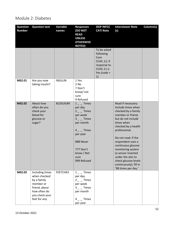#### Module 2: Diabetes

| <b>Question</b><br><b>Number</b> | <b>Question text</b>                                                                                                           | Variable<br>names | <b>Responses</b><br>(DO NOT<br><b>READ</b><br><b>UNLESS</b><br><b>OTHERWISE</b><br><b>NOTED)</b>                                                                        | <b>SKIP INFO/</b><br><b>CATI Note</b>                                                               | <b>Interviewer Note</b><br>(s)                                                                                                                                                                                                                                                                                                                                              | Column(s) |
|----------------------------------|--------------------------------------------------------------------------------------------------------------------------------|-------------------|-------------------------------------------------------------------------------------------------------------------------------------------------------------------------|-----------------------------------------------------------------------------------------------------|-----------------------------------------------------------------------------------------------------------------------------------------------------------------------------------------------------------------------------------------------------------------------------------------------------------------------------------------------------------------------------|-----------|
|                                  |                                                                                                                                |                   |                                                                                                                                                                         | To be asked<br>following<br>Core<br>CCHC.12; if<br>response to<br>CCHC.11 is<br>Yes (code $=$<br>1) |                                                                                                                                                                                                                                                                                                                                                                             |           |
| M02.01                           | Are you now<br>taking insulin?                                                                                                 | <b>INSULIN</b>    | 1 Yes<br>2 No<br>7 Don't<br>know/ not<br>sure<br>9 Refused                                                                                                              |                                                                                                     |                                                                                                                                                                                                                                                                                                                                                                             |           |
| M02.02                           | About how<br>often do you<br>check your<br>blood for<br>glucose or<br>sugar?                                                   | <b>BLDSUGAR</b>   | $1 -$ Times<br>per day<br>$2 -$ Times<br>per week<br>$3 -$ Times<br>per month<br>$4 -$ Times<br>per year<br>888 Never<br>777 Don't<br>know / Not<br>sure<br>999 Refused |                                                                                                     | Read if necessary:<br>Include times when<br>checked by a family<br>member or friend,<br>but do not include<br>times when<br>checked by a health<br>professional.<br>Do not read: If the<br>respondent uses a<br>continuous glucose<br>monitoring system<br>(a sensor inserted<br>under the skin to<br>check glucose levels<br>continuously), fill in<br>'98 times per day.' |           |
| M02.03                           | Including times<br>when checked<br>by a family<br>member or<br>friend, about<br>how often do<br>you check your<br>feet for any | FEETCHK3          | $1 -$ Times<br>per day<br>$2 -$ Times<br>per week<br>$3 - $ Times<br>per month<br>$4 -$ Times<br>per year                                                               |                                                                                                     |                                                                                                                                                                                                                                                                                                                                                                             |           |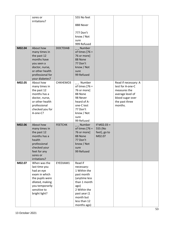|        | sores or                     |                 | 555 No feet                   |               |                                          |  |
|--------|------------------------------|-----------------|-------------------------------|---------------|------------------------------------------|--|
|        | irritations?                 |                 |                               |               |                                          |  |
|        |                              |                 | 888 Never                     |               |                                          |  |
|        |                              |                 | 777 Don't                     |               |                                          |  |
|        |                              |                 | know / Not                    |               |                                          |  |
|        |                              |                 | sure                          |               |                                          |  |
|        |                              |                 | 999 Refused                   |               |                                          |  |
| M02.04 | About how                    | <b>DOCTDIAB</b> | Number                        |               |                                          |  |
|        | many times in                |                 | of times $[76 =$              |               |                                          |  |
|        | the past 12                  |                 | 76 or more]                   |               |                                          |  |
|        | months have                  |                 | 88 None                       |               |                                          |  |
|        | you seen a                   |                 | 77 Don't                      |               |                                          |  |
|        | doctor, nurse,               |                 | know / Not                    |               |                                          |  |
|        | or other health              |                 | sure                          |               |                                          |  |
|        | professional for             |                 | 99 Refused                    |               |                                          |  |
| M02.05 | your diabetes?<br>About how  | CHKHEMO3        |                               |               |                                          |  |
|        | many times in                |                 | __ Number<br>of times $[76 =$ |               | Read if necessary: A<br>test for A-one-C |  |
|        | the past 12                  |                 | 76 or more]                   |               | measures the                             |  |
|        | months has a                 |                 | 88 None                       |               | average level of                         |  |
|        | doctor, nurse,               |                 | 98 Never                      |               | blood sugar over                         |  |
|        | or other health              |                 | heard of A-                   |               | the past three                           |  |
|        | professional                 |                 | one-C test                    |               | months.                                  |  |
|        | checked you for              |                 | 77 Don't                      |               |                                          |  |
|        | A-one-C?                     |                 | know / Not                    |               |                                          |  |
|        |                              |                 | sure                          |               |                                          |  |
|        |                              |                 | 99 Refused                    |               |                                          |  |
| M02.06 | About how                    | <b>FEETCHK</b>  | Number                        | If $M02.03 =$ |                                          |  |
|        | many times in                |                 | of times $[76 =$              | 555 (No       |                                          |  |
|        | the past 12                  |                 | 76 or more]                   | feet), go to  |                                          |  |
|        | months has a                 |                 | 88 None                       | M02.07        |                                          |  |
|        | health                       |                 | 77 Don't                      |               |                                          |  |
|        | professional                 |                 | know / Not                    |               |                                          |  |
|        | checked your<br>feet for any |                 | sure<br>99 Refused            |               |                                          |  |
|        | sores or                     |                 |                               |               |                                          |  |
|        | irritations?                 |                 |                               |               |                                          |  |
| M02.07 | When was the                 | EYEEXAM1        | Read if                       |               |                                          |  |
|        | last time you                |                 | necessary:                    |               |                                          |  |
|        | had an eye                   |                 | 1 Within the                  |               |                                          |  |
|        | exam in which                |                 | past month                    |               |                                          |  |
|        | the pupils were              |                 | (anytime less                 |               |                                          |  |
|        | dilated, making              |                 | than 1 month                  |               |                                          |  |
|        | you temporarily              |                 | ago)                          |               |                                          |  |
|        | sensitive to                 |                 | 2 Within the                  |               |                                          |  |
|        | bright light?                |                 | past year (1                  |               |                                          |  |
|        |                              |                 | month but                     |               |                                          |  |
|        |                              |                 | less than 12                  |               |                                          |  |
|        |                              |                 | months ago)                   |               |                                          |  |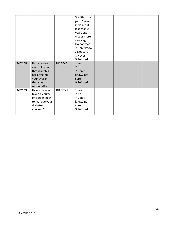| M02.08 | Has a doctor<br>ever told you<br>that diabetes<br>has affected<br>your eyes or<br>that you had | <b>DIABEYE</b> | 3 Within the<br>past 2 years<br>(1 year but<br>less than 2<br>years ago)<br>4 2 or more<br>years ago<br>Do not read:<br>7 Don't know<br>/ Not sure<br>8 Never<br>9 Refused<br>1 Yes<br>$2$ No<br>7 Don't<br>know/ not<br>sure<br>9 Refused |  |  |
|--------|------------------------------------------------------------------------------------------------|----------------|--------------------------------------------------------------------------------------------------------------------------------------------------------------------------------------------------------------------------------------------|--|--|
|        | retinopathy?                                                                                   |                |                                                                                                                                                                                                                                            |  |  |
| M02.09 | Have you ever<br>taken a course<br>or class in how<br>to manage your<br>diabetes<br>yourself?  | <b>DIABEDU</b> | 1 Yes<br>2 No<br>7 Don't<br>know/ not<br>sure<br>9 Refused                                                                                                                                                                                 |  |  |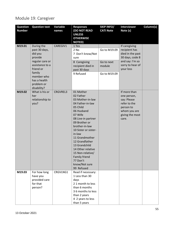# Module 19: Caregiver

| <b>Question</b><br><b>Number</b> | <b>Question text</b>                                                                                                                                       | <b>Variable</b><br>names | <b>Responses</b><br><b>(DO NOT READ</b><br><b>UNLESS</b><br><b>OTHERWISE</b><br><b>NOTED)</b>                                                                                                                                                                                                                                                            | <b>SKIP INFO/</b><br><b>CATI Note</b>                | <b>Interviewer</b><br>Note (s)                                                                                            | Column(s) |
|----------------------------------|------------------------------------------------------------------------------------------------------------------------------------------------------------|--------------------------|----------------------------------------------------------------------------------------------------------------------------------------------------------------------------------------------------------------------------------------------------------------------------------------------------------------------------------------------------------|------------------------------------------------------|---------------------------------------------------------------------------------------------------------------------------|-----------|
| M19.01                           | During the<br>past 30 days,<br>did you<br>provide<br>regular care or<br>assistance to a<br>friend or<br>family<br>member who<br>has a health<br>problem or | CAREGIV1                 | 1 Yes<br>2 No<br>7 Don't know/Not<br>sure<br>8 Caregiving<br>recipient died in<br>past 30 days<br>9 Refused                                                                                                                                                                                                                                              | Go to M19.09<br>Go to next<br>module<br>Go to M19.09 | If caregiving<br>recipient has<br>died in the past<br>30 days, code 8<br>and say: I'm so<br>sorry to hear of<br>your loss |           |
| M19.02                           | disability?<br>What is his or<br>her<br>relationship to<br>you?                                                                                            | <b>CRGVREL3</b>          | 01 Mother<br>02 Father<br>03 Mother-in-law<br>04 Father-in-law<br>05 Child<br>06 Husband<br>07 Wife<br>08 Live-in partner<br>09 Brother or<br>brother-in-law<br>10 Sister or sister-<br>in-law<br>11 Grandmother<br>12 Grandfather<br>13 Grandchild<br>14 Other relative<br>15 Non-relative/<br>Family friend<br>77 Don't<br>know/Not sure<br>99 Refused |                                                      | If more than<br>one person,<br>say: Please<br>refer to the<br>person to<br>whom you are<br>giving the most<br>care.       |           |
| M19.03                           | For how long<br>have you<br>provided care<br>for that<br>person?                                                                                           | CRGVLNG1                 | Read if necessary:<br>1 Less than 30<br>days<br>21 month to less<br>than 6 months<br>3 6 months to less<br>than 2 years<br>4 2 years to less<br>than 5 years                                                                                                                                                                                             |                                                      |                                                                                                                           |           |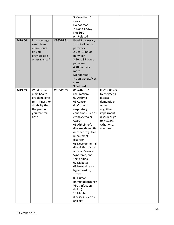|        |                  |          | 5 More than 5                            |                 |  |
|--------|------------------|----------|------------------------------------------|-----------------|--|
|        |                  |          | years                                    |                 |  |
|        |                  |          | Do not read:                             |                 |  |
|        |                  |          | 7 Don't Know/                            |                 |  |
|        |                  |          | Not Sure                                 |                 |  |
|        |                  |          | Refused<br>9                             |                 |  |
| M19.04 | In an average    | CRGVHRS1 | Read if necessary:                       |                 |  |
|        | week, how        |          | 1 Up to 8 hours                          |                 |  |
|        | many hours       |          | per week                                 |                 |  |
|        | do you           |          | 29 to 19 hours                           |                 |  |
|        | provide care     |          | per week                                 |                 |  |
|        | or assistance?   |          | 3 20 to 39 hours                         |                 |  |
|        |                  |          | per week                                 |                 |  |
|        |                  |          | 4 40 hours or                            |                 |  |
|        |                  |          |                                          |                 |  |
|        |                  |          | more                                     |                 |  |
|        |                  |          | Do not read:                             |                 |  |
|        |                  |          | 7 Don't know/Not                         |                 |  |
|        |                  |          | sure<br>9 Refused                        |                 |  |
|        |                  |          |                                          |                 |  |
| M19.05 | What is the      | CRGVPRB3 | 01 Arthritis/                            | If $M19.05 = 5$ |  |
|        | main health      |          | rheumatism                               | (Alzheimer's    |  |
|        | problem, long-   |          | 02 Asthma                                | disease,        |  |
|        | term illness, or |          | 03 Cancer                                | dementia or     |  |
|        | disability that  |          | 04 Chronic                               | other           |  |
|        | the person       |          | respiratory                              | cognitive       |  |
|        | you care for     |          | conditions such as                       | impairment      |  |
|        | has?             |          | emphysema or                             | disorder), go   |  |
|        |                  |          | <b>COPD</b>                              | to M19.07.      |  |
|        |                  |          | 05 Alzheimer's                           | Otherwise,      |  |
|        |                  |          | disease, dementia                        | continue        |  |
|        |                  |          | or other cognitive                       |                 |  |
|        |                  |          | impairment                               |                 |  |
|        |                  |          | disorder                                 |                 |  |
|        |                  |          | 06 Developmental<br>disabilities such as |                 |  |
|        |                  |          | autism, Down's                           |                 |  |
|        |                  |          |                                          |                 |  |
|        |                  |          | Syndrome, and<br>spina bifida            |                 |  |
|        |                  |          | 07 Diabetes                              |                 |  |
|        |                  |          | 08 Heart disease,                        |                 |  |
|        |                  |          | hypertension,                            |                 |  |
|        |                  |          | stroke                                   |                 |  |
|        |                  |          | 09 Human                                 |                 |  |
|        |                  |          | Immunodeficiency                         |                 |  |
|        |                  |          | Virus Infection                          |                 |  |
|        |                  |          | (H.I.V.)                                 |                 |  |
|        |                  |          | 10 Mental                                |                 |  |
|        |                  |          | illnesses, such as                       |                 |  |
|        |                  |          |                                          |                 |  |
|        |                  |          | anxiety,                                 |                 |  |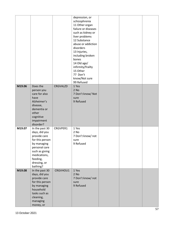|        |                                                                                                                                                                              |          | depression, or<br>schizophrenia<br>11 Other organ<br>failure or diseases<br>such as kidney or<br>liver problems<br>12 Substance<br>abuse or addiction<br>disorders<br>13 Injuries,<br>including broken<br>bones<br>14 Old age/<br>infirmity/frailty<br>15 Other<br>77 Don't<br>know/Not sure<br>99 Refused |  |  |
|--------|------------------------------------------------------------------------------------------------------------------------------------------------------------------------------|----------|------------------------------------------------------------------------------------------------------------------------------------------------------------------------------------------------------------------------------------------------------------------------------------------------------------|--|--|
| M19.06 | Does the<br>person you<br>care for also<br>have<br>Alzheimer's<br>disease,<br>dementia or<br>other<br>cognitive<br>impairment<br>disorder?                                   | CRGVALZD | 1 Yes<br>2 No<br>7 Don't know/ Not<br>sure<br>9 Refused                                                                                                                                                                                                                                                    |  |  |
| M19.07 | In the past 30<br>days, did you<br>provide care<br>for this person<br>by managing<br>personal care<br>such as giving<br>medications,<br>feeding,<br>dressing, or<br>bathing? | CRGVPER1 | 1 Yes<br>2 No<br>7 Don't know/ not<br>sure<br>9 Refused                                                                                                                                                                                                                                                    |  |  |
| M19.08 | In the past 30<br>days, did you<br>provide care<br>for this person<br>by managing<br>household<br>tasks such as<br>cleaning,<br>managing<br>money, or                        | CRGVHOU1 | 1 Yes<br>2 No<br>7 Don't know/ not<br>sure<br>9 Refused                                                                                                                                                                                                                                                    |  |  |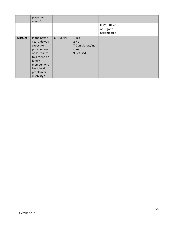|        | preparing<br>meals?                                                                                                                                                 |                 |                                                           |                                               |  |
|--------|---------------------------------------------------------------------------------------------------------------------------------------------------------------------|-----------------|-----------------------------------------------------------|-----------------------------------------------|--|
|        |                                                                                                                                                                     |                 |                                                           | If $M19.01 = 1$<br>or 8, go to<br>next module |  |
| M19.09 | In the next 2<br>years, do you<br>expect to<br>provide care<br>or assistance<br>to a friend or<br>family<br>member who<br>has a health<br>problem or<br>disability? | <b>CRGVEXPT</b> | 1 Yes<br>$2$ No<br>7 Don't know/ not<br>sure<br>9 Refused |                                               |  |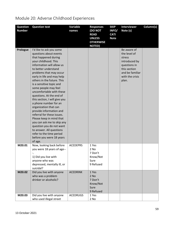| <b>Question</b><br><b>Number</b> | <b>Question text</b>                                                                                                                                                                                                                                                                                                                                                                                                                                                                                                                                                                                                                                                                        | Variable<br>names | <b>Responses</b><br>(DO NOT<br><b>READ</b><br><b>UNLESS</b><br><b>OTHERWISE</b><br><b>NOTED)</b> | <b>SKIP</b><br>INFO/<br><b>CATI</b><br><b>Note</b> | <b>Interviewer</b><br>Note (s)                                                                                                        | Column(s) |
|----------------------------------|---------------------------------------------------------------------------------------------------------------------------------------------------------------------------------------------------------------------------------------------------------------------------------------------------------------------------------------------------------------------------------------------------------------------------------------------------------------------------------------------------------------------------------------------------------------------------------------------------------------------------------------------------------------------------------------------|-------------------|--------------------------------------------------------------------------------------------------|----------------------------------------------------|---------------------------------------------------------------------------------------------------------------------------------------|-----------|
| Prologue                         | I'd like to ask you some<br>questions about events<br>that happened during<br>your childhood. This<br>information will allow us<br>to better understand<br>problems that may occur<br>early in life and may help<br>others in the future. This<br>is a sensitive topic and<br>some people may feel<br>uncomfortable with these<br>questions. At the end of<br>this section, I will give you<br>a phone number for an<br>organization that can<br>provide information and<br>referral for these issues.<br>Please keep in mind that<br>you can ask me to skip any<br>question you do not want<br>to answer. All questions<br>refer to the time period<br>before you were 18 years<br>of age. |                   |                                                                                                  |                                                    | Be aware of<br>the level of<br>stress<br>introduced by<br>questions in<br>this section<br>and be familiar<br>with the crisis<br>plan. |           |
| M20.01                           | Now, looking back before<br>you were 18 years of age--<br>1) Did you live with<br>anyone who was<br>depressed, mentally ill, or<br>suicidal?                                                                                                                                                                                                                                                                                                                                                                                                                                                                                                                                                | <b>ACEDEPRS</b>   | 1 Yes<br>2 No<br>7 Don't<br>Know/Not<br>Sure<br>9 Refused                                        |                                                    |                                                                                                                                       |           |
| M20.02                           | Did you live with anyone<br>who was a problem<br>drinker or alcoholic?                                                                                                                                                                                                                                                                                                                                                                                                                                                                                                                                                                                                                      | <b>ACEDRINK</b>   | 1 Yes<br>2 No<br>7 Don't<br>Know/Not<br>Sure<br>9 Refused                                        |                                                    |                                                                                                                                       |           |
| M20.03                           | Did you live with anyone<br>who used illegal street                                                                                                                                                                                                                                                                                                                                                                                                                                                                                                                                                                                                                                         | <b>ACEDRUGS</b>   | 1 Yes<br>2 No                                                                                    |                                                    |                                                                                                                                       |           |

# Module 20: Adverse Childhood Experiences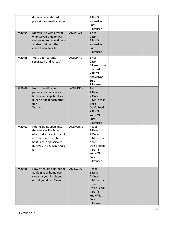|        | drugs or who abused<br>prescription medications?                                                                                                                           |                 | 7 Don't<br>Know/Not<br>Sure<br>9 Refused                                                                     |  |  |
|--------|----------------------------------------------------------------------------------------------------------------------------------------------------------------------------|-----------------|--------------------------------------------------------------------------------------------------------------|--|--|
| M20.04 | Did you live with anyone<br>who served time or was<br>sentenced to serve time in<br>a prison, jail, or other<br>correctional facility?                                     | <b>ACEPRISN</b> | 1 Yes<br>$2$ No<br>7 Don't<br>Know/Not<br>Sure<br>9 Refused                                                  |  |  |
| M20.05 | Were your parents<br>separated or divorced?                                                                                                                                | <b>ACEDIVRC</b> | 1 Yes<br>$2$ No<br>8 Parents not<br>married<br>7 Don't<br>Know/Not<br>Sure<br>9 Refused                      |  |  |
| M20.06 | How often did your<br>parents or adults in your<br>home ever slap, hit, kick,<br>punch or beat each other<br>up?<br>Was it                                                 | <b>ACEPUNCH</b> | Read:<br>1 Never<br>2 Once<br>3 More than<br>once<br>Don't Read:<br>7 Don't<br>know/Not<br>Sure<br>9 Refused |  |  |
| M20.07 | Not including spanking,<br>(before age 18), how<br>often did a parent or adult<br>in your home ever hit,<br>beat, kick, or physically<br>hurt you in any way? Was<br>$it-$ | ACEHURT1        | Read:<br>1 Never<br>2 Once<br>3 More than<br>once<br>Don't Read:<br>7 Don't<br>know/Not<br>Sure<br>9 Refused |  |  |
| M20.08 | How often did a parent or<br>adult in your home ever<br>swear at you, insult you,<br>or put you down? Was it                                                               | <b>ACESWEAR</b> | Read:<br>1 Never<br>2 Once<br>3 More than<br>once<br>Don't Read:<br>7 Don't<br>know/Not<br>Sure<br>9 Refused |  |  |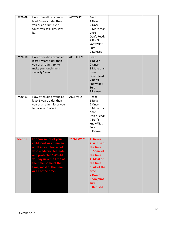| M20.09 | How often did anyone at<br>least 5 years older than<br>you or an adult, ever<br>touch you sexually? Was<br>it                                                                                                                        | <b>ACETOUCH</b> | Read:<br>1 Never<br>2 Once<br>3 More than<br>once<br>Don't Read:<br>7 Don't<br>know/Not<br>Sure<br>9 Refused                                                                  |  |  |
|--------|--------------------------------------------------------------------------------------------------------------------------------------------------------------------------------------------------------------------------------------|-----------------|-------------------------------------------------------------------------------------------------------------------------------------------------------------------------------|--|--|
| M20.10 | How often did anyone at<br>least 5 years older than<br>you or an adult, try to<br>make you touch them<br>sexually? Was it                                                                                                            | <b>ACETTHEM</b> | Read:<br>1 Never<br>2 Once<br>3 More than<br>once<br>Don't Read:<br>7 Don't<br>know/Not<br>Sure<br>9 Refused                                                                  |  |  |
| M20.11 | How often did anyone at<br>least 5 years older than<br>you or an adult, force you<br>to have sex? Was it                                                                                                                             | <b>ACEHVSEX</b> | Read:<br>1 Never<br>2 Once<br>3 More than<br>once<br>Don't Read:<br>7 Don't<br>know/Not<br>Sure<br>9 Refused                                                                  |  |  |
| M20.12 | For how much of your<br>childhood was there an<br>adult in your household<br>who made you feel safe<br>and protected? Would<br>you say never, a little of<br>the time, some of the<br>time, most of the time,<br>or all of the time? | ***NEW***       | 1. Never<br>2. A little of<br>the time<br>3. Some of<br>the time<br>4. Most of<br>the time<br>5. All of the<br>time<br>7 Don't<br><b>Know/Not</b><br>sure<br><b>9 Refused</b> |  |  |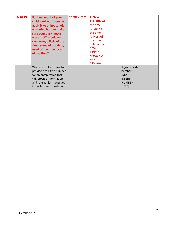| M20.13 | For how much of your<br>childhood was there an<br>adult in your household<br>who tried hard to make<br>sure your basic needs<br>were met? Would you<br>say never, a little of the<br>time, some of the time,<br>most of the time, or all<br>of the time? | ***NEW**** | 1. Never<br>2. A little of<br>the time<br>3. Some of<br>the time<br>4. Most of<br>the time<br>5. All of the<br>time<br>7 Don't<br><b>Know/Not</b><br>sure<br><b>9 Refused</b> |                                                                                        |  |
|--------|----------------------------------------------------------------------------------------------------------------------------------------------------------------------------------------------------------------------------------------------------------|------------|-------------------------------------------------------------------------------------------------------------------------------------------------------------------------------|----------------------------------------------------------------------------------------|--|
|        | Would you like for me to<br>provide a toll-free number<br>for an organization that<br>can provide information<br>and referral for the issues<br>in the last few questions.                                                                               |            |                                                                                                                                                                               | If yes provide<br>number<br><b>STATE TO</b><br><b>INSERT</b><br><b>NUMBER</b><br>HERE] |  |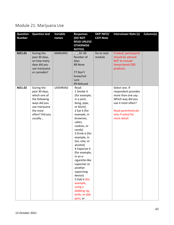### Module 21: Marijuana Use

| <b>Question</b><br><b>Number</b> | <b>Question text</b>                                                                                                                   | Variable<br>names | <b>Responses</b><br><b>(DO NOT</b><br><b>READ UNLESS</b><br><b>OTHERWISE</b><br><b>NOTED)</b>                                                                                                                                                                                                                                                                                                                                            | <b>SKIP INFO/</b><br><b>CATI Note</b> | <b>Interviewer Note (s)</b>                                                                                                                                               | Column(s) |
|----------------------------------|----------------------------------------------------------------------------------------------------------------------------------------|-------------------|------------------------------------------------------------------------------------------------------------------------------------------------------------------------------------------------------------------------------------------------------------------------------------------------------------------------------------------------------------------------------------------------------------------------------------------|---------------------------------------|---------------------------------------------------------------------------------------------------------------------------------------------------------------------------|-----------|
| M21.01                           | During the<br>past 30 days,<br>on how many<br>days did you<br>use marijuana<br>or cannabis?                                            | MARIJAN1          | $01 - 30$<br>Number of<br>days<br>88 None<br>77 Don't<br>know/not<br>sure<br>99 Refused                                                                                                                                                                                                                                                                                                                                                  | Go to next<br>module                  | If asked, participants<br>should be advised<br><b>NOT to include</b><br>hemp-based CBD<br>products.                                                                       |           |
| M21.02                           | During the<br>past 30 days,<br>which one of<br>the following<br>ways did you<br>use marijuana<br>the most<br>often? Did you<br>usually | USEMRJN2          | Read:<br>1 Smoke it<br>(for example,<br>in a joint,<br>bong, pipe,<br>or blunt).<br>2 Eat it (for<br>example, in<br>brownies,<br>cakes,<br>cookies, or<br>candy)<br>3 Drink it (for<br>example, in<br>tea, cola, or<br>alcohol)<br>4 Vaporize it<br>(for example,<br>in an e-<br>cigarette-like<br>vaporizer or<br>another<br>vaporizing<br>device)<br>5 Dab it (for<br>example,<br>using a<br>dabbing rig,<br>knife, or dab<br>pen), or |                                       | Select one. If<br>respondent provides<br>more than one say:<br>Which way did you<br>use it most often?<br><b>Read parentheticals</b><br>only if asked for<br>more detail. |           |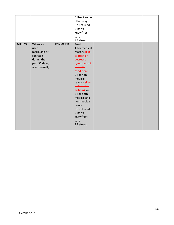|        |                 |          | 6 Use it some  |  |  |
|--------|-----------------|----------|----------------|--|--|
|        |                 |          | other way.     |  |  |
|        |                 |          | Do not read:   |  |  |
|        |                 |          | 7 Don't        |  |  |
|        |                 |          | know/not       |  |  |
|        |                 |          | sure           |  |  |
|        |                 |          | 9 Refused      |  |  |
| M21.03 | When you        | RSNMRJN1 | Read:          |  |  |
|        | used            |          | 1 For medical  |  |  |
|        | marijuana or    |          | reasons Hike   |  |  |
|        | cannabis        |          | to treat or    |  |  |
|        | during the      |          | decrease       |  |  |
|        | past 30 days,   |          | symptoms of    |  |  |
|        | was it usually: |          | a health       |  |  |
|        |                 |          | condition);    |  |  |
|        |                 |          | 2 For non-     |  |  |
|        |                 |          | medical        |  |  |
|        |                 |          | reasons (like  |  |  |
|        |                 |          | to have fun    |  |  |
|        |                 |          | or fit in), or |  |  |
|        |                 |          | 3 For both     |  |  |
|        |                 |          | medical and    |  |  |
|        |                 |          | non-medical    |  |  |
|        |                 |          | reasons.       |  |  |
|        |                 |          | Do not read:   |  |  |
|        |                 |          | 7 Don't        |  |  |
|        |                 |          |                |  |  |
|        |                 |          | know/Not       |  |  |
|        |                 |          | sure           |  |  |
|        |                 |          | 9 Refused      |  |  |
|        |                 |          |                |  |  |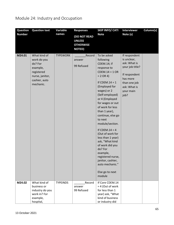### Module 24: Industry and Occupation

| <b>Question</b><br><b>Number</b> | <b>Question text</b>                                                                                              | <b>Variable</b><br>names | <b>Responses</b>                                                          | <b>SKIP INFO/ CATI</b><br><b>Note</b>                                                                                                                                                                                                                                                                                                                                                                                                                                                                                | <b>Interviewer</b><br>Note (s)                                                                                                                    | Column(s) |
|----------------------------------|-------------------------------------------------------------------------------------------------------------------|--------------------------|---------------------------------------------------------------------------|----------------------------------------------------------------------------------------------------------------------------------------------------------------------------------------------------------------------------------------------------------------------------------------------------------------------------------------------------------------------------------------------------------------------------------------------------------------------------------------------------------------------|---------------------------------------------------------------------------------------------------------------------------------------------------|-----------|
|                                  |                                                                                                                   |                          | <b>(DO NOT READ</b><br><b>UNLESS</b><br><b>OTHERWISE</b><br><b>NOTED)</b> |                                                                                                                                                                                                                                                                                                                                                                                                                                                                                                                      |                                                                                                                                                   |           |
| M24.01                           | What kind of<br>work do you<br>do? For<br>example,<br>registered<br>nurse, janitor,<br>cashier, auto<br>mechanic. | <b>TYPEWORK</b>          | Record<br>answer<br>99 Refused                                            | To be asked<br>following<br>CDEM.14; if<br>response to<br>$CDEM.14 = 1 OR$<br>$= 2$ OR 4)<br>If CDEM. $14 = 1$<br>(Employed for<br>wages) or 2<br>(Self-employed)<br>or 4 (Employed<br>for wages or out<br>of work for less<br>than 1 year),<br>continue, else go<br>to next<br>module/section.<br>If CDEM. $14 = 4$<br>(Out of work for<br>less than 1 year)<br>ask, "What kind<br>of work did you<br>do? For<br>example,<br>registered nurse,<br>janitor, cashier,<br>auto mechanic."<br>Else go to next<br>module | If respondent<br>is unclear,<br>ask: What is<br>your job title?<br>If respondent<br>has more<br>than one job<br>ask: What is<br>your main<br>job? |           |
| M24.02                           | What kind of<br>business or<br>industry do you<br>work in? For<br>example,<br>hospital,                           | <b>TYPEINDS</b>          | Record<br>answer<br>99 Refused                                            | If Core CDEM.14<br>$= 4$ (Out of work<br>for less than 1<br>year) ask, "What<br>kind of business<br>or industry did                                                                                                                                                                                                                                                                                                                                                                                                  |                                                                                                                                                   |           |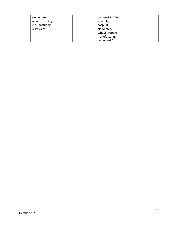| elementary       | you work in? For |
|------------------|------------------|
| school, clothing | example,         |
| manufacturing,   | hospital,        |
| restaurant       | elementary       |
|                  | school, clothing |
|                  | manufacturing,   |
|                  | restaurant."     |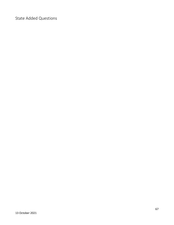State Added Questions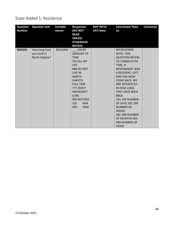#### State Added 1: Residence

| <b>Question</b><br><b>Number</b> | <b>Question text</b> | Variable<br>names | <b>Responses</b><br>(DO NOT<br><b>READ</b><br><b>UNLESS</b><br><b>OTHERWISE</b><br><b>NOTED)</b> | <b>SKIP INFO/</b><br><b>CATI Note</b> | <b>Interviewer Note</b><br>(s) | Column(s) |
|----------------------------------|----------------------|-------------------|--------------------------------------------------------------------------------------------------|---------------------------------------|--------------------------------|-----------|
| <b>ND0101</b>                    | How long have        | <b>RESLONG</b>    | <b>ENTER</b>                                                                                     |                                       | <b>INTERVIEWER</b>             |           |
|                                  | you lived in         |                   | AMOUNT OF                                                                                        |                                       | <b>NOTE: THIS</b>              |           |
|                                  | North Dakota?        |                   | <b>TIME</b>                                                                                      |                                       | <b>QUESTION REFERS</b>         |           |
|                                  |                      |                   | <b>555 ALL MY</b>                                                                                |                                       | <b>TO CONSECUTIVE</b>          |           |
|                                  |                      |                   | <b>LIFE</b>                                                                                      |                                       | TIME. IF                       |           |
|                                  |                      |                   | 888 DO NOT                                                                                       |                                       | <b>RESPONDENT WAS</b>          |           |
|                                  |                      |                   | LIVE IN                                                                                          |                                       | A RESIDENT, LEFT               |           |
|                                  |                      |                   | <b>NORTH</b>                                                                                     |                                       | AND HAS NOW                    |           |
|                                  |                      |                   | <b>DAKOTA</b>                                                                                    |                                       | COME BACK, WE                  |           |
|                                  |                      |                   | <b>FULL TIME</b>                                                                                 |                                       | <b>ARE INTERESTED</b>          |           |
|                                  |                      |                   | <b>777 DON'T</b>                                                                                 |                                       | IN HOW LONG                    |           |
|                                  |                      |                   | KNOW/NOT                                                                                         |                                       | THEY HAVE BEEN                 |           |
|                                  |                      |                   | <b>SURE</b>                                                                                      |                                       | BACK.                          |           |
|                                  |                      |                   | 999 REFUSED                                                                                      |                                       | 101-199 NUMBER                 |           |
|                                  |                      |                   | 101<br><b>MIN</b>                                                                                |                                       | OF DAYS 201-299                |           |
|                                  |                      |                   | 499<br><b>MAX</b>                                                                                |                                       | <b>NUMBER OF</b>               |           |
|                                  |                      |                   |                                                                                                  |                                       | <b>WEEKS</b>                   |           |
|                                  |                      |                   |                                                                                                  |                                       | 301-399 NUMBER                 |           |
|                                  |                      |                   |                                                                                                  |                                       | OF MONTHS 401-                 |           |
|                                  |                      |                   |                                                                                                  |                                       | 499 NUMBER OF                  |           |
|                                  |                      |                   |                                                                                                  |                                       | <b>YEARS</b>                   |           |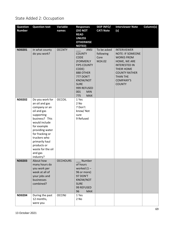### State Added 2: Occupation

| <b>Question</b><br><b>Number</b> | <b>Question text</b>                                                                                                                                                                                                                                                  | Variable<br>names | <b>Responses</b><br>(DO NOT<br><b>READ</b>                                                                                                                                                            | <b>SKIP INFO/</b><br><b>CATI Note</b>      | <b>Interviewer Note</b><br>(s)                                                                                                                                                                                  | Column(s) |
|----------------------------------|-----------------------------------------------------------------------------------------------------------------------------------------------------------------------------------------------------------------------------------------------------------------------|-------------------|-------------------------------------------------------------------------------------------------------------------------------------------------------------------------------------------------------|--------------------------------------------|-----------------------------------------------------------------------------------------------------------------------------------------------------------------------------------------------------------------|-----------|
|                                  |                                                                                                                                                                                                                                                                       |                   | <b>UNLESS</b><br><b>OTHERWISE</b><br><b>NOTED)</b>                                                                                                                                                    |                                            |                                                                                                                                                                                                                 |           |
| <b>ND0201</b>                    | In what county<br>do you work?                                                                                                                                                                                                                                        | <b>OCCNTY</b>     | <b>ANSI</b><br><b>COUNTY</b><br><b>CODE</b><br>(FORMERLY<br><b>FIPS COUNTY</b><br>CODE)<br>888 OTHER<br>777 DON'T<br>KNOW/NOT<br><b>SURE</b><br>999 REFUSED<br>001<br><b>MIN</b><br>775<br><b>MAX</b> | To be asked<br>following<br>Core<br>M24.02 | <b>INTERVIEWER</b><br><b>NOTE: IF SOMEONE</b><br><b>WORKS FROM</b><br>HOME, WE ARE<br><b>INTERESTED IN</b><br><b>THEIR HOME</b><br><b>COUNTY RATHER</b><br><b>THAN THE</b><br><b>COMPANY'S</b><br><b>COUNTY</b> |           |
| <b>ND0202</b>                    | Do you work for<br>an oil and gas<br>company or an<br>oil and gas<br>supporting<br>business? This<br>would include<br>for example<br>providing water<br>for fracking or<br>truckers who<br>primarily haul<br>products or<br>waste for the oil<br>and gas<br>industry? | <b>OCCOIL</b>     | 1 Yes<br>2 No<br>7 Don't<br>know/Not<br>sure<br>9 Refused                                                                                                                                             |                                            |                                                                                                                                                                                                                 |           |
| <b>ND0203</b>                    | About how<br>many hours do<br>you work per<br>week at all of<br>your jobs and<br>businesses<br>combined?                                                                                                                                                              | <b>OCCHOURS</b>   | Number<br>of hours<br>worked $(1 -$<br>96 or more)<br>97 DON'T<br><b>KNOW/NOT</b><br><b>SURE</b><br>99 REFUSED<br>96<br><b>MAX</b>                                                                    |                                            |                                                                                                                                                                                                                 |           |
| <b>ND0204</b>                    | During the past<br>12 months,<br>were you                                                                                                                                                                                                                             | <b>OCCINJ</b>     | 1 Yes<br>2 No                                                                                                                                                                                         |                                            |                                                                                                                                                                                                                 |           |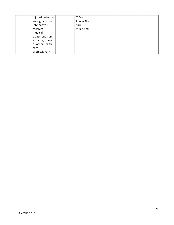| injured seriously | 7 Don't   |  |  |
|-------------------|-----------|--|--|
| enough at your    | know/Not  |  |  |
| job that you      | sure      |  |  |
| received          | 9 Refused |  |  |
| medical           |           |  |  |
| treatment from    |           |  |  |
| a doctor, nurse   |           |  |  |
| or other health   |           |  |  |
| care              |           |  |  |
| professional?     |           |  |  |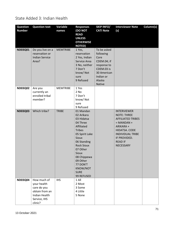State Added 3: Indian Health

| <b>Question</b> | <b>Question text</b>            | <b>Variable</b> | <b>Responses</b>                  | <b>SKIP INFO/</b>         | <b>Interviewer Note</b>                        | Column(s) |
|-----------------|---------------------------------|-----------------|-----------------------------------|---------------------------|------------------------------------------------|-----------|
| <b>Number</b>   |                                 | names           | <b>DO NOT</b>                     | <b>CATI Note</b>          | (s)                                            |           |
|                 |                                 |                 | <b>READ</b>                       |                           |                                                |           |
|                 |                                 |                 | <b>UNLESS</b><br><b>OTHERWISE</b> |                           |                                                |           |
|                 |                                 |                 | <b>NOTED)</b>                     |                           |                                                |           |
| <b>ND03Q01</b>  | Do you live on a                | <b>MEMTRIBE</b> | 1 Yes,                            | To be asked               |                                                |           |
|                 | reservation or                  |                 | reservation                       | following                 |                                                |           |
|                 | <b>Indian Service</b>           |                 | 2 Yes, Indian                     | Core                      |                                                |           |
|                 | Area?                           |                 | Service Area                      | CDEM.04; if               |                                                |           |
|                 |                                 |                 | 3 No, neither<br>7 Don't          | response to<br>CDEM.03 is |                                                |           |
|                 |                                 |                 | know/Not                          | 30 American               |                                                |           |
|                 |                                 |                 | sure                              | Indian or                 |                                                |           |
|                 |                                 |                 | 9 Refused                         | Alaska                    |                                                |           |
|                 |                                 |                 |                                   | Native                    |                                                |           |
| <b>ND03Q02</b>  | Are you                         | <b>MEMTRIBE</b> | 1 Yes                             |                           |                                                |           |
|                 | currently an<br>enrolled tribal |                 | 2 No<br>7 Don't                   |                           |                                                |           |
|                 | member?                         |                 | know/Not                          |                           |                                                |           |
|                 |                                 |                 | sure                              |                           |                                                |           |
|                 |                                 |                 | 9 Refused                         |                           |                                                |           |
| <b>ND03Q03</b>  | Which tribe?                    | <b>TRIBE</b>    | 01 Mandan                         |                           | <b>INTERVIEWER</b>                             |           |
|                 |                                 |                 | 02 Arikara<br>03 Hidatsa          |                           | <b>NOTE: THREE</b><br><b>AFFILIATED TRIBES</b> |           |
|                 |                                 |                 | 04 Three                          |                           | $=$ MANDAN +                                   |           |
|                 |                                 |                 | Affiliated                        |                           | ARIKARA+                                       |           |
|                 |                                 |                 | <b>Tribes</b>                     |                           | HIDATSA. CODE                                  |           |
|                 |                                 |                 | 05 Spirit Lake                    |                           | <b>INDIVIDUAL TRIBE</b>                        |           |
|                 |                                 |                 | <b>Sioux</b>                      |                           | IF PROVIDED.                                   |           |
|                 |                                 |                 | 06 Standing<br><b>Rock Sioux</b>  |                           | <b>READ IF</b><br>NECESSARY                    |           |
|                 |                                 |                 | 07 Other                          |                           |                                                |           |
|                 |                                 |                 | <b>Sioux</b>                      |                           |                                                |           |
|                 |                                 |                 | 08 Chippewa                       |                           |                                                |           |
|                 |                                 |                 | 09 Other                          |                           |                                                |           |
|                 |                                 |                 | 77 DON'T                          |                           |                                                |           |
|                 |                                 |                 | KNOW/NOT<br><b>SURE</b>           |                           |                                                |           |
|                 |                                 |                 | 99 REFUSED                        |                           |                                                |           |
| <b>ND03Q04</b>  | How much of                     | <b>IHS</b>      | 1 All                             |                           |                                                |           |
|                 | your health                     |                 | 2 Most                            |                           |                                                |           |
|                 | care do you                     |                 | 3 Some                            |                           |                                                |           |
|                 | obtain from an                  |                 | 4 Little                          |                           |                                                |           |
|                 | Indian Health<br>Service, IHS   |                 | 5 None                            |                           |                                                |           |
|                 | clinic?                         |                 |                                   |                           |                                                |           |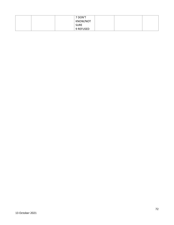|  | 7 DON'T     |  |  |
|--|-------------|--|--|
|  | KNOW/NOT    |  |  |
|  | <b>SURE</b> |  |  |
|  | 9 REFUSED   |  |  |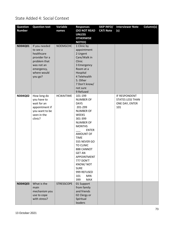State Added 4: Social Context

| <b>Question</b> | <b>Question text</b> | <b>Variable</b>   | <b>Responses</b>  | <b>SKIP INFO/</b> | <b>Interviewer Note</b> | Column(s) |
|-----------------|----------------------|-------------------|-------------------|-------------------|-------------------------|-----------|
| <b>Number</b>   |                      | names             | (DO NOT READ      | <b>CATI Note</b>  | (s)                     |           |
|                 |                      |                   | <b>UNLESS</b>     |                   |                         |           |
|                 |                      |                   | <b>OTHERWISE</b>  |                   |                         |           |
|                 |                      |                   | <b>NOTED)</b>     |                   |                         |           |
| <b>ND04Q01</b>  | If you needed        | <b>NOEMGCHC</b>   | 1 Clinic by       |                   |                         |           |
|                 | to see a             |                   | appointment       |                   |                         |           |
|                 | healthcare           |                   | 2 Urgent          |                   |                         |           |
|                 | provider for a       |                   | Care/Walk in      |                   |                         |           |
|                 | problem that         |                   | Clinic            |                   |                         |           |
|                 | was not an           |                   | 3 Emergency       |                   |                         |           |
|                 | emergency,           |                   | Room at a         |                   |                         |           |
|                 | where would          |                   | Hospital          |                   |                         |           |
|                 | you go?              |                   | 4 Telehealth      |                   |                         |           |
|                 |                      |                   | 5. Other          |                   |                         |           |
|                 |                      |                   | 7 Don't know/     |                   |                         |           |
|                 |                      |                   | not sure          |                   |                         |           |
|                 |                      |                   | 9 Refused         |                   |                         |           |
| <b>ND04Q02</b>  | How long do          | <b>HCWAITIME</b>  | 101-199           |                   | IF RESPONDENT           |           |
|                 | you have to          |                   | <b>NUMBER OF</b>  |                   | <b>STATES LESS THAN</b> |           |
|                 | wait for an          |                   | <b>DAYS</b>       |                   | ONE DAY, ENTER          |           |
|                 | appointment if       |                   | 201-299           |                   | 101                     |           |
|                 | you want to be       |                   | <b>NUMBER OF</b>  |                   |                         |           |
|                 | seen in the          |                   | <b>WEEKS</b>      |                   |                         |           |
|                 | clinic?              |                   | 301-399           |                   |                         |           |
|                 |                      |                   | <b>NUMBER OF</b>  |                   |                         |           |
|                 |                      |                   | <b>MONTHS</b>     |                   |                         |           |
|                 |                      |                   | <b>ENTER</b>      |                   |                         |           |
|                 |                      |                   | <b>AMOUNT OF</b>  |                   |                         |           |
|                 |                      |                   | <b>TIME</b>       |                   |                         |           |
|                 |                      |                   | 555 NEVER GO      |                   |                         |           |
|                 |                      |                   | TO CLINIC         |                   |                         |           |
|                 |                      |                   | 888 CANNOT        |                   |                         |           |
|                 |                      |                   | <b>GET AN</b>     |                   |                         |           |
|                 |                      |                   | APPOINTMENT       |                   |                         |           |
|                 |                      |                   | 777 DON'T         |                   |                         |           |
|                 |                      |                   | KNOW/NOT          |                   |                         |           |
|                 |                      |                   | <b>SURE</b>       |                   |                         |           |
|                 |                      |                   | 999 REFUSED       |                   |                         |           |
|                 |                      |                   | 101<br><b>MIN</b> |                   |                         |           |
|                 |                      |                   | <b>MAX</b><br>399 |                   |                         |           |
| <b>ND04Q03</b>  | What is the          | <b>STRESSCOPE</b> | 01 Support        |                   |                         |           |
|                 | main                 |                   | from family       |                   |                         |           |
|                 | mechanism you        |                   | and friends       |                   |                         |           |
|                 | use to cope          |                   | 02 Clergy or      |                   |                         |           |
|                 | with stress?         |                   | Spiritual         |                   |                         |           |
|                 |                      |                   | leaders           |                   |                         |           |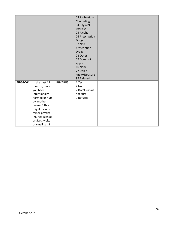|                |                  |                | 03 Professional |  |  |
|----------------|------------------|----------------|-----------------|--|--|
|                |                  |                | Counseling      |  |  |
|                |                  |                | 04 Physical     |  |  |
|                |                  |                | Exercise        |  |  |
|                |                  |                | 05 Alcohol      |  |  |
|                |                  |                | 06 Prescription |  |  |
|                |                  |                | <b>Drugs</b>    |  |  |
|                |                  |                | 07 Non-         |  |  |
|                |                  |                | prescription    |  |  |
|                |                  |                | <b>Drugs</b>    |  |  |
|                |                  |                | 08 Other        |  |  |
|                |                  |                | 09 Does not     |  |  |
|                |                  |                | apply           |  |  |
|                |                  |                | 10 None         |  |  |
|                |                  |                | 77 Don't        |  |  |
|                |                  |                | know/Not sure   |  |  |
|                |                  |                | 99 Refused      |  |  |
| <b>ND04Q04</b> | In the past 12   | <b>PHYABUS</b> | 1 Yes           |  |  |
|                | months, have     |                | 2 No            |  |  |
|                | you been         |                | 7 Don't know/   |  |  |
|                | intentionally    |                | not sure        |  |  |
|                | harmed or hurt   |                | 9 Refused       |  |  |
|                | by another       |                |                 |  |  |
|                | person? This     |                |                 |  |  |
|                | might include    |                |                 |  |  |
|                | minor physical   |                |                 |  |  |
|                | injuries such as |                |                 |  |  |
|                | bruises, welts   |                |                 |  |  |
|                | or small cuts?   |                |                 |  |  |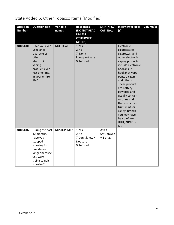| <b>Question</b><br><b>Number</b> | <b>Question text</b>                                                                                                                          | Variable<br>names | <b>Responses</b><br><b>(DO NOT READ</b><br><b>UNLESS</b><br><b>OTHERWISE</b><br><b>NOTED)</b> | <b>SKIP INFO/</b><br><b>CATI Note</b> | <b>Interviewer Note</b><br>(s)                                                                                                                                                                                                                                                                                                                                                       | Column(s) |
|----------------------------------|-----------------------------------------------------------------------------------------------------------------------------------------------|-------------------|-----------------------------------------------------------------------------------------------|---------------------------------------|--------------------------------------------------------------------------------------------------------------------------------------------------------------------------------------------------------------------------------------------------------------------------------------------------------------------------------------------------------------------------------------|-----------|
| <b>ND05Q01</b>                   | Have you ever<br>used an e-<br>cigarette or<br>other<br>electronic<br>vaping<br>product, even<br>just one time,<br>in your entire<br>life?    | NDECIGARET        | 1 Yes<br>$2$ No<br>7 Don't<br>know/Not sure<br>9 Refused                                      |                                       | Electronic<br>cigarettes (e-<br>cigarettes) and<br>other electronic<br>vaping products<br>include electronic<br>hookahs (e-<br>hookahs), vape<br>pens, e-cigars,<br>and others.<br>These products<br>are battery-<br>powered and<br>usually contain<br>nicotine and<br>flavors such as<br>fruit, mint, or<br>candy. Brands<br>you may have<br>heard of are<br>JUUL, NJOY, or<br>blu. |           |
| <b>ND05Q02</b>                   | During the past<br>12 months,<br>have you<br>stopped<br>smoking for<br>one day or<br>longer because<br>you were<br>trying to quit<br>smoking? | NDSTOPSMK2        | 1 Yes<br>2 No<br>7 Don't know /<br>Not sure<br>9 Refused                                      | Ask if<br>SMOKDAY2<br>$= 1$ or 2.     |                                                                                                                                                                                                                                                                                                                                                                                      |           |

## State Added 5: Other Tobacco Items (Modified)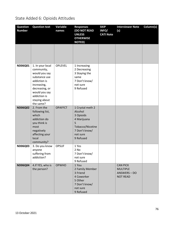## State Added 6: Opioids Attitudes

| <b>Question</b><br><b>Number</b> | <b>Question text</b>                                                                                                                                                             | Variable<br>names | <b>Responses</b><br>(DO NOT READ<br><b>UNLESS</b><br><b>OTHERWISE</b><br><b>NOTED)</b>                                     | <b>SKIP</b><br>INFO/<br><b>CATI Note</b> | <b>Interviewer Note</b><br>(s)                                      | Column(s) |
|----------------------------------|----------------------------------------------------------------------------------------------------------------------------------------------------------------------------------|-------------------|----------------------------------------------------------------------------------------------------------------------------|------------------------------------------|---------------------------------------------------------------------|-----------|
|                                  |                                                                                                                                                                                  |                   |                                                                                                                            |                                          |                                                                     |           |
| ND06Q01                          | 1. In your local<br>community,<br>would you say<br>substance use<br>addiction is<br>increasing,<br>decreasing, or<br>would you say<br>addiction is<br>staying about<br>the same? | <b>OPLEVEL</b>    | 1 Increasing<br>2 Decreasing<br>3 Staying the<br>same<br>7 Don't know/<br>not sure<br>9 Refused                            |                                          |                                                                     |           |
| <b>ND06Q02</b>                   | 2. From the<br>following list,<br>which<br>addiction do<br>you think is<br>most<br>negatively<br>affecting your<br>local<br>community?                                           | <b>OPAFFCT</b>    | 1 Crystal meth 2<br>Alcohol<br>3 Opioids<br>4 Marijuana<br>5<br>Tobacco/Nicotine<br>7 Don't know/<br>not sure<br>9 Refused |                                          |                                                                     |           |
| <b>ND06Q03</b>                   | 3. Do you know<br>anyone<br>suffering from<br>addiction?                                                                                                                         | <b>OPSUF</b>      | 1 Yes<br>2 No<br>7 Don't know/<br>not sure<br>9 Refused                                                                    |                                          |                                                                     |           |
| <b>ND06Q04</b>                   | 4.If YES, who is<br>the person?                                                                                                                                                  | <b>OPWHO</b>      | 1 You<br>2 Family Member<br>3 Friend<br>4 Coworker<br>5 Other<br>7 Don't know/<br>not sure<br>9 Refused                    |                                          | <b>CAN PICK</b><br><b>MULTIPLE</b><br>ANSWERS-DO<br><b>NOT READ</b> |           |